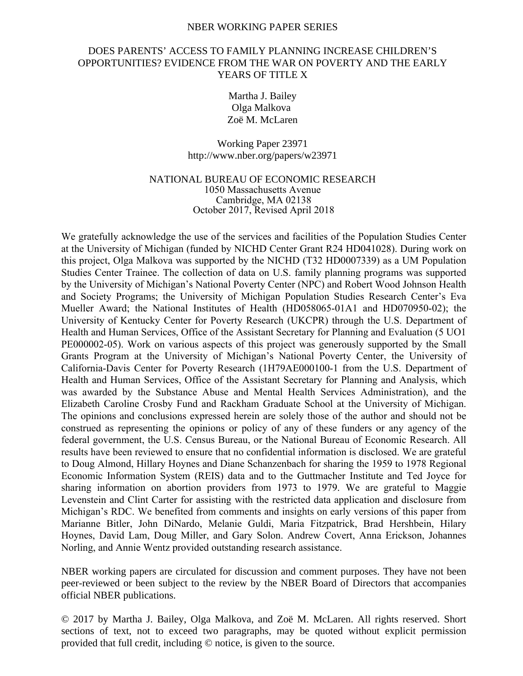#### NBER WORKING PAPER SERIES

# DOES PARENTS' ACCESS TO FAMILY PLANNING INCREASE CHILDREN'S OPPORTUNITIES? EVIDENCE FROM THE WAR ON POVERTY AND THE EARLY YEARS OF TITLE X

Martha J. Bailey Olga Malkova Zoë M. McLaren

Working Paper 23971 http://www.nber.org/papers/w23971

## NATIONAL BUREAU OF ECONOMIC RESEARCH 1050 Massachusetts Avenue Cambridge, MA 02138 October 2017, Revised April 2018

We gratefully acknowledge the use of the services and facilities of the Population Studies Center at the University of Michigan (funded by NICHD Center Grant R24 HD041028). During work on this project, Olga Malkova was supported by the NICHD (T32 HD0007339) as a UM Population Studies Center Trainee. The collection of data on U.S. family planning programs was supported by the University of Michigan's National Poverty Center (NPC) and Robert Wood Johnson Health and Society Programs; the University of Michigan Population Studies Research Center's Eva Mueller Award; the National Institutes of Health (HD058065-01A1 and HD070950-02); the University of Kentucky Center for Poverty Research (UKCPR) through the U.S. Department of Health and Human Services, Office of the Assistant Secretary for Planning and Evaluation (5 UO1 PE000002-05). Work on various aspects of this project was generously supported by the Small Grants Program at the University of Michigan's National Poverty Center, the University of California-Davis Center for Poverty Research (1H79AE000100-1 from the U.S. Department of Health and Human Services, Office of the Assistant Secretary for Planning and Analysis, which was awarded by the Substance Abuse and Mental Health Services Administration), and the Elizabeth Caroline Crosby Fund and Rackham Graduate School at the University of Michigan. The opinions and conclusions expressed herein are solely those of the author and should not be construed as representing the opinions or policy of any of these funders or any agency of the federal government, the U.S. Census Bureau, or the National Bureau of Economic Research. All results have been reviewed to ensure that no confidential information is disclosed. We are grateful to Doug Almond, Hillary Hoynes and Diane Schanzenbach for sharing the 1959 to 1978 Regional Economic Information System (REIS) data and to the Guttmacher Institute and Ted Joyce for sharing information on abortion providers from 1973 to 1979. We are grateful to Maggie Levenstein and Clint Carter for assisting with the restricted data application and disclosure from Michigan's RDC. We benefited from comments and insights on early versions of this paper from Marianne Bitler, John DiNardo, Melanie Guldi, Maria Fitzpatrick, Brad Hershbein, Hilary Hoynes, David Lam, Doug Miller, and Gary Solon. Andrew Covert, Anna Erickson, Johannes Norling, and Annie Wentz provided outstanding research assistance.

NBER working papers are circulated for discussion and comment purposes. They have not been peer-reviewed or been subject to the review by the NBER Board of Directors that accompanies official NBER publications.

© 2017 by Martha J. Bailey, Olga Malkova, and Zoë M. McLaren. All rights reserved. Short sections of text, not to exceed two paragraphs, may be quoted without explicit permission provided that full credit, including © notice, is given to the source.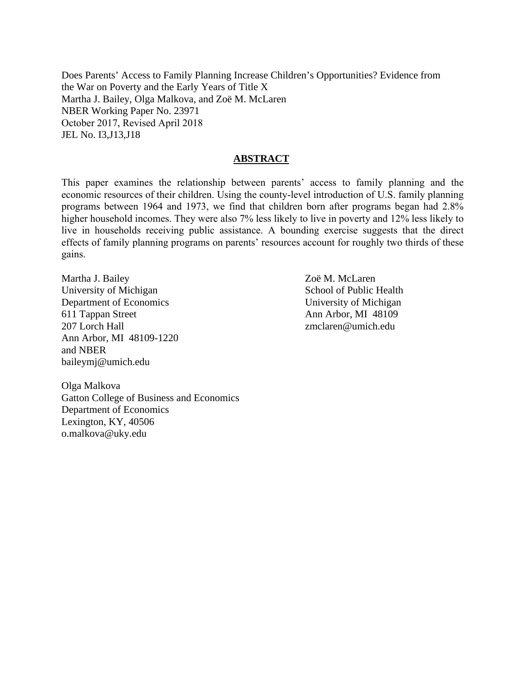Does Parents' Access to Family Planning Increase Children's Opportunities? Evidence from the War on Poverty and the Early Years of Title X Martha J. Bailey, Olga Malkova, and Zoë M. McLaren NBER Working Paper No. 23971 October 2017, Revised April 2018 JEL No. I3,J13,J18

## **ABSTRACT**

This paper examines the relationship between parents' access to family planning and the economic resources of their children. Using the county-level introduction of U.S. family planning programs between 1964 and 1973, we find that children born after programs began had 2.8% higher household incomes. They were also 7% less likely to live in poverty and 12% less likely to live in households receiving public assistance. A bounding exercise suggests that the direct effects of family planning programs on parents' resources account for roughly two thirds of these gains.

Martha J. Bailey University of Michigan Department of Economics 611 Tappan Street 207 Lorch Hall Ann Arbor, MI 48109-1220 and NBER baileymj@umich.edu

Zoë M. McLaren School of Public Health University of Michigan Ann Arbor, MI 48109 zmclaren@umich.edu

Olga Malkova Gatton College of Business and Economics Department of Economics Lexington, KY, 40506 o.malkova@uky.edu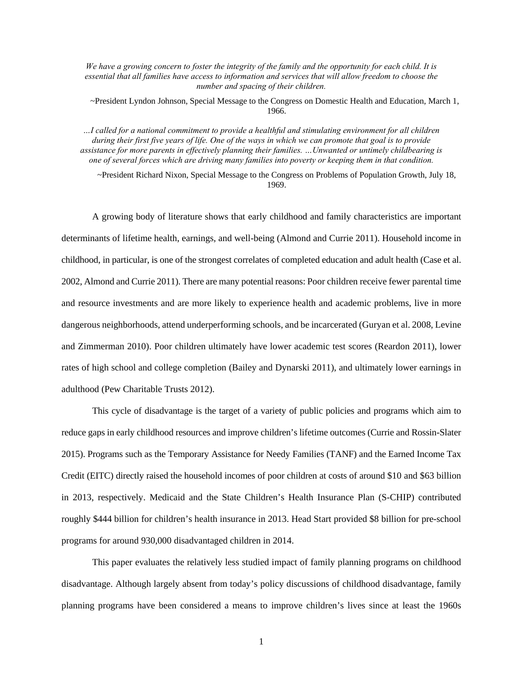*We have a growing concern to foster the integrity of the family and the opportunity for each child. It is essential that all families have access to information and services that will allow freedom to choose the number and spacing of their children.*

~President Lyndon Johnson, Special Message to the Congress on Domestic Health and Education, March 1, 1966.

*…I called for a national commitment to provide a healthful and stimulating environment for all children during their first five years of life. One of the ways in which we can promote that goal is to provide assistance for more parents in effectively planning their families. …Unwanted or untimely childbearing is one of several forces which are driving many families into poverty or keeping them in that condition.*

~President Richard Nixon, Special Message to the Congress on Problems of Population Growth, July 18, 1969.

A growing body of literature shows that early childhood and family characteristics are important determinants of lifetime health, earnings, and well-being (Almond and Currie 2011). Household income in childhood, in particular, is one of the strongest correlates of completed education and adult health (Case et al. 2002, Almond and Currie 2011). There are many potential reasons: Poor children receive fewer parental time and resource investments and are more likely to experience health and academic problems, live in more dangerous neighborhoods, attend underperforming schools, and be incarcerated (Guryan et al. 2008, Levine and Zimmerman 2010). Poor children ultimately have lower academic test scores (Reardon 2011), lower rates of high school and college completion (Bailey and Dynarski 2011), and ultimately lower earnings in adulthood (Pew Charitable Trusts 2012).

This cycle of disadvantage is the target of a variety of public policies and programs which aim to reduce gaps in early childhood resources and improve children's lifetime outcomes (Currie and Rossin-Slater 2015). Programs such as the Temporary Assistance for Needy Families (TANF) and the Earned Income Tax Credit (EITC) directly raised the household incomes of poor children at costs of around \$10 and \$63 billion in 2013, respectively. Medicaid and the State Children's Health Insurance Plan (S-CHIP) contributed roughly \$444 billion for children's health insurance in 2013. Head Start provided \$8 billion for pre-school programs for around 930,000 disadvantaged children in 2014.

This paper evaluates the relatively less studied impact of family planning programs on childhood disadvantage. Although largely absent from today's policy discussions of childhood disadvantage, family planning programs have been considered a means to improve children's lives since at least the 1960s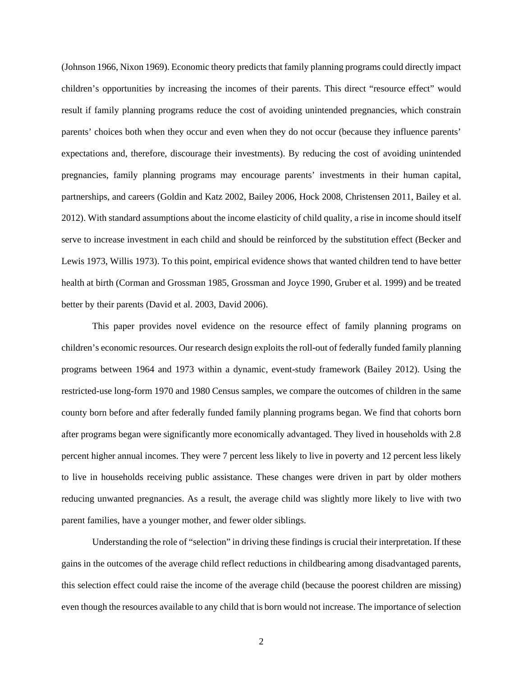(Johnson 1966, Nixon 1969). Economic theory predicts that family planning programs could directly impact children's opportunities by increasing the incomes of their parents. This direct "resource effect" would result if family planning programs reduce the cost of avoiding unintended pregnancies, which constrain parents' choices both when they occur and even when they do not occur (because they influence parents' expectations and, therefore, discourage their investments). By reducing the cost of avoiding unintended pregnancies, family planning programs may encourage parents' investments in their human capital, partnerships, and careers (Goldin and Katz 2002, Bailey 2006, Hock 2008, Christensen 2011, Bailey et al. 2012). With standard assumptions about the income elasticity of child quality, a rise in income should itself serve to increase investment in each child and should be reinforced by the substitution effect (Becker and Lewis 1973, Willis 1973). To this point, empirical evidence shows that wanted children tend to have better health at birth (Corman and Grossman 1985, Grossman and Joyce 1990, Gruber et al. 1999) and be treated better by their parents (David et al. 2003, David 2006).

This paper provides novel evidence on the resource effect of family planning programs on children's economic resources. Our research design exploits the roll-out of federally funded family planning programs between 1964 and 1973 within a dynamic, event-study framework (Bailey 2012). Using the restricted-use long-form 1970 and 1980 Census samples, we compare the outcomes of children in the same county born before and after federally funded family planning programs began. We find that cohorts born after programs began were significantly more economically advantaged. They lived in households with 2.8 percent higher annual incomes. They were 7 percent less likely to live in poverty and 12 percent less likely to live in households receiving public assistance. These changes were driven in part by older mothers reducing unwanted pregnancies. As a result, the average child was slightly more likely to live with two parent families, have a younger mother, and fewer older siblings.

Understanding the role of "selection" in driving these findings is crucial their interpretation. If these gains in the outcomes of the average child reflect reductions in childbearing among disadvantaged parents, this selection effect could raise the income of the average child (because the poorest children are missing) even though the resources available to any child that is born would not increase. The importance of selection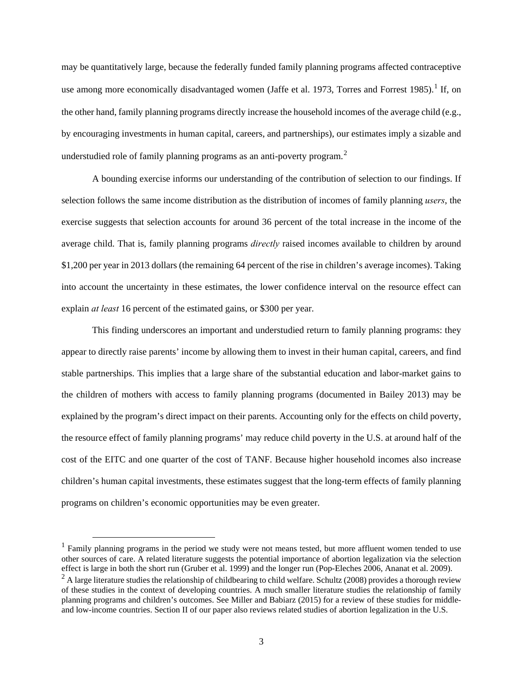may be quantitatively large, because the federally funded family planning programs affected contraceptive use among more economically disadvantaged women (Jaffe et al. [1](#page-4-0)973, Torres and Forrest 1985).<sup>1</sup> If, on the other hand, family planning programs directly increase the household incomes of the average child (e.g., by encouraging investments in human capital, careers, and partnerships), our estimates imply a sizable and understudied role of family planning programs as an anti-poverty program.<sup>[2](#page-4-1)</sup>

A bounding exercise informs our understanding of the contribution of selection to our findings. If selection follows the same income distribution as the distribution of incomes of family planning *users*, the exercise suggests that selection accounts for around 36 percent of the total increase in the income of the average child. That is, family planning programs *directly* raised incomes available to children by around \$1,200 per year in 2013 dollars (the remaining 64 percent of the rise in children's average incomes). Taking into account the uncertainty in these estimates, the lower confidence interval on the resource effect can explain *at least* 16 percent of the estimated gains, or \$300 per year.

This finding underscores an important and understudied return to family planning programs: they appear to directly raise parents' income by allowing them to invest in their human capital, careers, and find stable partnerships. This implies that a large share of the substantial education and labor-market gains to the children of mothers with access to family planning programs (documented in Bailey 2013) may be explained by the program's direct impact on their parents. Accounting only for the effects on child poverty, the resource effect of family planning programs' may reduce child poverty in the U.S. at around half of the cost of the EITC and one quarter of the cost of TANF. Because higher household incomes also increase children's human capital investments, these estimates suggest that the long-term effects of family planning programs on children's economic opportunities may be even greater.

<span id="page-4-0"></span> $<sup>1</sup>$  Family planning programs in the period we study were not means tested, but more affluent women tended to use</sup> other sources of care. A related literature suggests the potential importance of abortion legalization via the selection effect is large in both the short run (Gruber et al. 1999) and the longer run (Pop-Eleches 2006, Anan

<span id="page-4-1"></span> $^{2}$  A large literature studies the relationship of childbearing to child welfare. Schultz (2008) provides a thorough review of these studies in the context of developing countries. A much smaller literature studies the relationship of family planning programs and children's outcomes. See Miller and Babiarz (2015) for a review of these studies for middleand low-income countries. Section II of our paper also reviews related studies of abortion legalization in the U.S.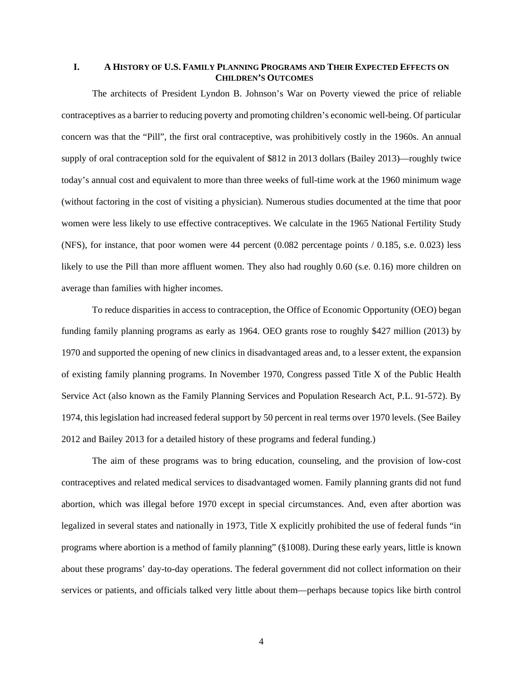### **I. A HISTORY OF U.S. FAMILY PLANNING PROGRAMS AND THEIR EXPECTED EFFECTS ON CHILDREN'S OUTCOMES**

The architects of President Lyndon B. Johnson's War on Poverty viewed the price of reliable contraceptives as a barrier to reducing poverty and promoting children's economic well-being. Of particular concern was that the "Pill", the first oral contraceptive, was prohibitively costly in the 1960s. An annual supply of oral contraception sold for the equivalent of \$812 in 2013 dollars (Bailey 2013)—roughly twice today's annual cost and equivalent to more than three weeks of full-time work at the 1960 minimum wage (without factoring in the cost of visiting a physician). Numerous studies documented at the time that poor women were less likely to use effective contraceptives. We calculate in the 1965 National Fertility Study (NFS), for instance, that poor women were 44 percent (0.082 percentage points / 0.185, s.e. 0.023) less likely to use the Pill than more affluent women. They also had roughly 0.60 (s.e. 0.16) more children on average than families with higher incomes.

To reduce disparities in access to contraception, the Office of Economic Opportunity (OEO) began funding family planning programs as early as 1964. OEO grants rose to roughly \$427 million (2013) by 1970 and supported the opening of new clinics in disadvantaged areas and, to a lesser extent, the expansion of existing family planning programs. In November 1970, Congress passed Title X of the Public Health Service Act (also known as the Family Planning Services and Population Research Act, P.L. 91-572). By 1974, this legislation had increased federal support by 50 percent in real terms over 1970 levels. (See Bailey 2012 and Bailey 2013 for a detailed history of these programs and federal funding.)

The aim of these programs was to bring education, counseling, and the provision of low-cost contraceptives and related medical services to disadvantaged women. Family planning grants did not fund abortion, which was illegal before 1970 except in special circumstances. And, even after abortion was legalized in several states and nationally in 1973, Title X explicitly prohibited the use of federal funds "in programs where abortion is a method of family planning" (§1008). During these early years, little is known about these programs' day-to-day operations. The federal government did not collect information on their services or patients, and officials talked very little about them—perhaps because topics like birth control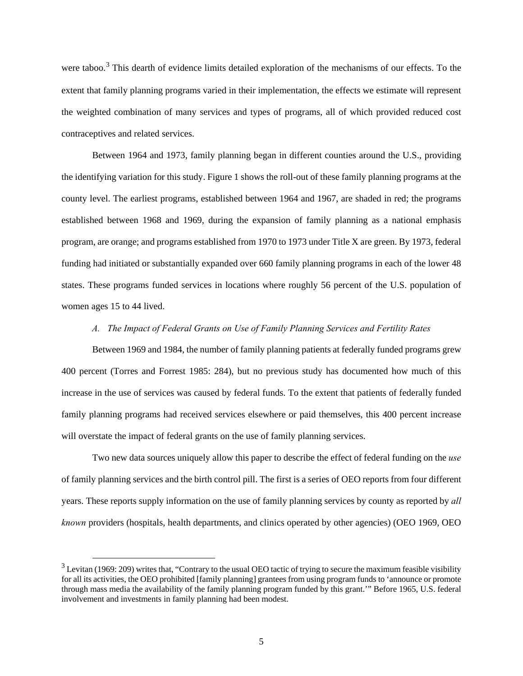were taboo.<sup>[3](#page-6-0)</sup> This dearth of evidence limits detailed exploration of the mechanisms of our effects. To the extent that family planning programs varied in their implementation, the effects we estimate will represent the weighted combination of many services and types of programs, all of which provided reduced cost contraceptives and related services.

Between 1964 and 1973, family planning began in different counties around the U.S., providing the identifying variation for this study. [Figure 1](#page-30-0) shows the roll-out of these family planning programs at the county level. The earliest programs, established between 1964 and 1967, are shaded in red; the programs established between 1968 and 1969, during the expansion of family planning as a national emphasis program, are orange; and programs established from 1970 to 1973 under Title X are green. By 1973, federal funding had initiated or substantially expanded over 660 family planning programs in each of the lower 48 states. These programs funded services in locations where roughly 56 percent of the U.S. population of women ages 15 to 44 lived.

#### *A. The Impact of Federal Grants on Use of Family Planning Services and Fertility Rates*

Between 1969 and 1984, the number of family planning patients at federally funded programs grew 400 percent (Torres and Forrest 1985: 284), but no previous study has documented how much of this increase in the use of services was caused by federal funds. To the extent that patients of federally funded family planning programs had received services elsewhere or paid themselves, this 400 percent increase will overstate the impact of federal grants on the use of family planning services.

Two new data sources uniquely allow this paper to describe the effect of federal funding on the *use* of family planning services and the birth control pill. The first is a series of OEO reports from four different years. These reports supply information on the use of family planning services by county as reported by *all known* providers (hospitals, health departments, and clinics operated by other agencies) (OEO 1969, OEO

<span id="page-6-0"></span> $3$  Levitan (1969: 209) writes that, "Contrary to the usual OEO tactic of trying to secure the maximum feasible visibility for all its activities, the OEO prohibited [family planning] grantees from using program funds to 'announce or promote through mass media the availability of the family planning program funded by this grant.'" Before 1965, U.S. federal involvement and investments in family planning had been modest.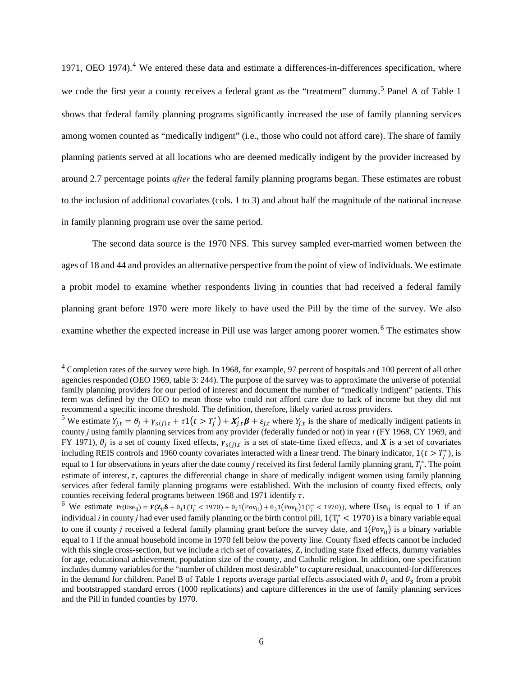1971, OEO 197[4](#page-7-0)).<sup>4</sup> We entered these data and estimate a differences-in-differences specification, where we code the first year a county receives a federal grant as the "treatment" dummy.<sup>[5](#page-7-1)</sup> Panel A of [Table 1](#page-33-0) shows that federal family planning programs significantly increased the use of family planning services among women counted as "medically indigent" (i.e., those who could not afford care). The share of family planning patients served at all locations who are deemed medically indigent by the provider increased by around 2.7 percentage points *after* the federal family planning programs began. These estimates are robust to the inclusion of additional covariates (cols. 1 to 3) and about half the magnitude of the national increase in family planning program use over the same period.

The second data source is the 1970 NFS. This survey sampled ever-married women between the ages of 18 and 44 and provides an alternative perspective from the point of view of individuals. We estimate a probit model to examine whether respondents living in counties that had received a federal family planning grant before 1970 were more likely to have used the Pill by the time of the survey. We also examine whether the expected increase in Pill use was larger among poorer women.<sup>[6](#page-7-2)</sup> The estimates show

<span id="page-7-0"></span> $4$  Completion rates of the survey were high. In 1968, for example, 97 percent of hospitals and 100 percent of all other agencies responded (OEO 1969, table 3: 244). The purpose of the survey was to approximate the universe of potential family planning providers for our period of interest and document the number of "medically indigent" patients. This term was defined by the OEO to mean those who could not afford care due to lack of income but they did not recommend a specific income threshold. The definition, therefore, likely varied across providers.

<span id="page-7-1"></span><sup>&</sup>lt;sup>5</sup> We estimate  $Y_{j,t} = \theta_j + \gamma_{s(j),t} + \tau \mathbb{1}(t > T_j^*) + X_{j,t}'\boldsymbol{\beta} + \varepsilon_{j,t}$  where  $Y_{j,t}$  is the share of medically indigent patients in county *j* using family planning services from any provider (federally funded or not) in year *t* (FY 1968, CY 1969, and FY 1971),  $\theta_i$  is a set of county fixed effects,  $\gamma_{s(i), t}$  is a set of state-time fixed effects, and *X* is a set of covariates including REIS controls and 1960 county covariates interacted with a linear trend. The binary indicator,  $1(t > T_j^*)$ , is equal to 1 for observations in years after the date county  $j$  received its first federal family planning grant,  $T_j^*$ . The point estimate of interest,  $\tau$ , captures the differential change in share of medically indigent women using family planning services after federal family planning programs were established. With the inclusion of county fixed effects, only counties receiving federal programs between 1968 and 1971 identify  $\tau$ .

<span id="page-7-2"></span>counties receiving federal programs between 1968 and 1971 identify  $\tau$ .<br><sup>6</sup> We estimate Pr(Use<sub>ij</sub>) =  $\mathbf{F}(\mathbf{Z}_{ij}\delta + \theta_1 1(T_j^* < 1970) + \theta_2 1(\text{Pov}_{ij}) + \theta_3 1(\text{Pov}_{ij}) 1(T_j^* < 1970)$ , where Use<sub>ij</sub> is equal to 1 if an individual *i* in county *j* had ever used family planning or the birth control pill,  $1(T_j^* < 1970)$  is a binary variable equal to one if county *j* received a federal family planning grant before the survey date, and  $1(\text{Pov}_{ii})$  is a binary variable equal to 1 if the annual household income in 1970 fell below the poverty line. County fixed effects cannot be included with this single cross-section, but we include a rich set of covariates, Z, including state fixed effects, dummy variables for age, educational achievement, population size of the county, and Catholic religion. In addition, one specification includes dummy variables for the "number of children most desirable" to capture residual, unaccounted-for differences in the demand for children. Panel B of [Table 1](#page-33-0) reports average partial effects associated with  $\theta_1$  and  $\theta_3$  from a probit and bootstrapped standard errors (1000 replications) and capture differences in the use of family planning services and the Pill in funded counties by 1970.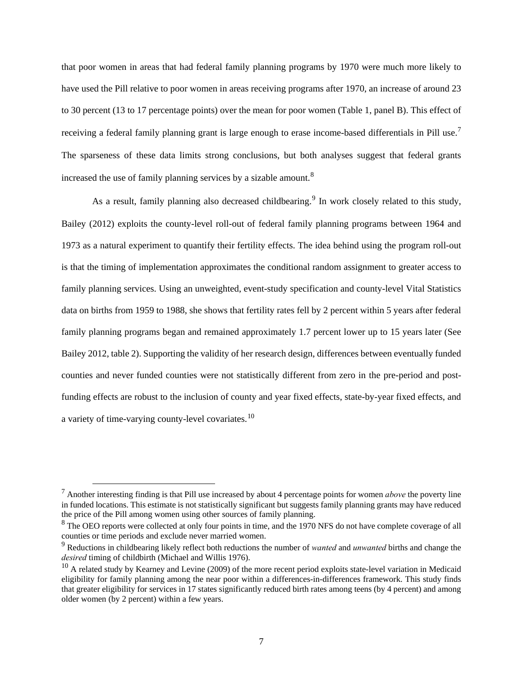that poor women in areas that had federal family planning programs by 1970 were much more likely to have used the Pill relative to poor women in areas receiving programs after 1970, an increase of around 23 to 30 percent (13 to 17 percentage points) over the mean for poor women [\(Table 1,](#page-33-0) panel B). This effect of receiving a federal family planning grant is large enough to erase income-based differentials in Pill use.<sup>[7](#page-8-0)</sup> The sparseness of these data limits strong conclusions, but both analyses suggest that federal grants increased the use of family planning services by a sizable amount.<sup>[8](#page-8-1)</sup>

As a result, family planning also decreased childbearing.<sup>[9](#page-8-2)</sup> In work closely related to this study, Bailey (2012) exploits the county-level roll-out of federal family planning programs between 1964 and 1973 as a natural experiment to quantify their fertility effects. The idea behind using the program roll-out is that the timing of implementation approximates the conditional random assignment to greater access to family planning services. Using an unweighted, event-study specification and county-level Vital Statistics data on births from 1959 to 1988, she shows that fertility rates fell by 2 percent within 5 years after federal family planning programs began and remained approximately 1.7 percent lower up to 15 years later (See Bailey 2012, table 2). Supporting the validity of her research design, differences between eventually funded counties and never funded counties were not statistically different from zero in the pre-period and postfunding effects are robust to the inclusion of county and year fixed effects, state-by-year fixed effects, and a variety of time-varying county-level covariates.[10](#page-8-3) 

<span id="page-8-0"></span> <sup>7</sup> Another interesting finding is that Pill use increased by about 4 percentage points for women *above* the poverty line in funded locations. This estimate is not statistically significant but suggests family planning grants may have reduced the price of the Pill among women using other sources of family planning.

<span id="page-8-1"></span> $8$  The OEO reports were collected at only four points in time, and the 1970 NFS do not have complete coverage of all counties or time periods and exclude never married women. 9 Reductions in childbearing likely reflect both reductions the number of *wanted* and *unwanted* births and change the

<span id="page-8-2"></span>*desired* timing of childbirth (Michael and Willis 1976).<br><sup>10</sup> A related study by Kearney and Levine (2009) of the more recent period exploits state-level variation in Medicaid

<span id="page-8-3"></span>eligibility for family planning among the near poor within a differences-in-differences framework. This study finds that greater eligibility for services in 17 states significantly reduced birth rates among teens (by 4 percent) and among older women (by 2 percent) within a few years.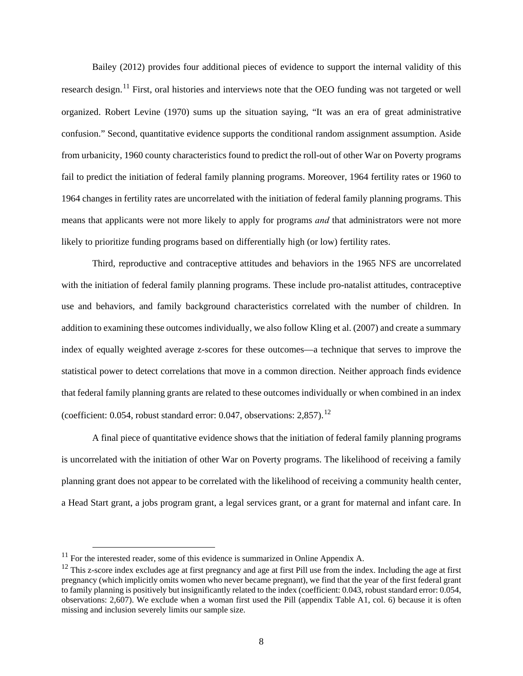Bailey (2012) provides four additional pieces of evidence to support the internal validity of this research design.<sup>[11](#page-9-0)</sup> First, oral histories and interviews note that the OEO funding was not targeted or well organized. Robert Levine (1970) sums up the situation saying, "It was an era of great administrative confusion." Second, quantitative evidence supports the conditional random assignment assumption. Aside from urbanicity, 1960 county characteristics found to predict the roll-out of other War on Poverty programs fail to predict the initiation of federal family planning programs. Moreover, 1964 fertility rates or 1960 to 1964 changes in fertility rates are uncorrelated with the initiation of federal family planning programs. This means that applicants were not more likely to apply for programs *and* that administrators were not more likely to prioritize funding programs based on differentially high (or low) fertility rates.

Third, reproductive and contraceptive attitudes and behaviors in the 1965 NFS are uncorrelated with the initiation of federal family planning programs. These include pro-natalist attitudes, contraceptive use and behaviors, and family background characteristics correlated with the number of children. In addition to examining these outcomes individually, we also follow Kling et al. (2007) and create a summary index of equally weighted average z-scores for these outcomes—a technique that serves to improve the statistical power to detect correlations that move in a common direction. Neither approach finds evidence that federal family planning grants are related to these outcomes individually or when combined in an index (coefficient:  $0.054$ , robust standard error:  $0.047$ , observations:  $2.857$ ).<sup>12</sup>

A final piece of quantitative evidence shows that the initiation of federal family planning programs is uncorrelated with the initiation of other War on Poverty programs. The likelihood of receiving a family planning grant does not appear to be correlated with the likelihood of receiving a community health center, a Head Start grant, a jobs program grant, a legal services grant, or a grant for maternal and infant care. In

<span id="page-9-0"></span> $11$  For the interested reader, some of this evidence is summarized in Online Appendix A.

<span id="page-9-1"></span> $12$  This z-score index excludes age at first pregnancy and age at first Pill use from the index. Including the age at first pregnancy (which implicitly omits women who never became pregnant), we find that the year of the first federal grant to family planning is positively but insignificantly related to the index (coefficient: 0.043, robust standard error: 0.054, observations: 2,607). We exclude when a woman first used the Pill (appendix Table A1, col. 6) because it is often missing and inclusion severely limits our sample size.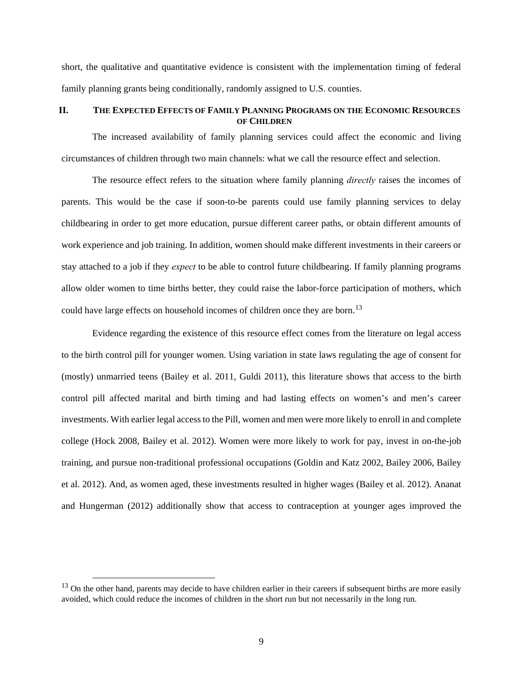short, the qualitative and quantitative evidence is consistent with the implementation timing of federal family planning grants being conditionally, randomly assigned to U.S. counties.

### **II. THE EXPECTED EFFECTS OF FAMILY PLANNING PROGRAMS ON THE ECONOMIC RESOURCES OF CHILDREN**

The increased availability of family planning services could affect the economic and living circumstances of children through two main channels: what we call the resource effect and selection.

The resource effect refers to the situation where family planning *directly* raises the incomes of parents. This would be the case if soon-to-be parents could use family planning services to delay childbearing in order to get more education, pursue different career paths, or obtain different amounts of work experience and job training. In addition, women should make different investments in their careers or stay attached to a job if they *expect* to be able to control future childbearing. If family planning programs allow older women to time births better, they could raise the labor-force participation of mothers, which could have large effects on household incomes of children once they are born.<sup>[13](#page-10-0)</sup>

Evidence regarding the existence of this resource effect comes from the literature on legal access to the birth control pill for younger women. Using variation in state laws regulating the age of consent for (mostly) unmarried teens (Bailey et al. 2011, Guldi 2011), this literature shows that access to the birth control pill affected marital and birth timing and had lasting effects on women's and men's career investments. With earlier legal access to the Pill, women and men were more likely to enroll in and complete college (Hock 2008, Bailey et al. 2012). Women were more likely to work for pay, invest in on-the-job training, and pursue non-traditional professional occupations (Goldin and Katz 2002, Bailey 2006, Bailey et al. 2012). And, as women aged, these investments resulted in higher wages (Bailey et al. 2012). Ananat and Hungerman (2012) additionally show that access to contraception at younger ages improved the

<span id="page-10-0"></span> $13$  On the other hand, parents may decide to have children earlier in their careers if subsequent births are more easily avoided, which could reduce the incomes of children in the short run but not necessarily in the long run.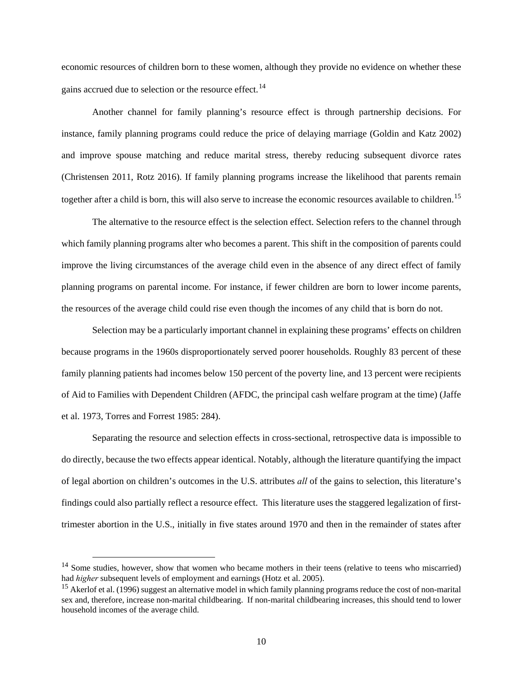economic resources of children born to these women, although they provide no evidence on whether these gains accrued due to selection or the resource effect.<sup>[14](#page-11-0)</sup>

Another channel for family planning's resource effect is through partnership decisions. For instance, family planning programs could reduce the price of delaying marriage (Goldin and Katz 2002) and improve spouse matching and reduce marital stress, thereby reducing subsequent divorce rates (Christensen 2011, Rotz 2016). If family planning programs increase the likelihood that parents remain together after a child is born, this will also serve to increase the economic resources available to children.<sup>[15](#page-11-1)</sup>

The alternative to the resource effect is the selection effect. Selection refers to the channel through which family planning programs alter who becomes a parent. This shift in the composition of parents could improve the living circumstances of the average child even in the absence of any direct effect of family planning programs on parental income. For instance, if fewer children are born to lower income parents, the resources of the average child could rise even though the incomes of any child that is born do not.

Selection may be a particularly important channel in explaining these programs' effects on children because programs in the 1960s disproportionately served poorer households. Roughly 83 percent of these family planning patients had incomes below 150 percent of the poverty line, and 13 percent were recipients of Aid to Families with Dependent Children (AFDC, the principal cash welfare program at the time) (Jaffe et al. 1973, Torres and Forrest 1985: 284).

Separating the resource and selection effects in cross-sectional, retrospective data is impossible to do directly, because the two effects appear identical. Notably, although the literature quantifying the impact of legal abortion on children's outcomes in the U.S. attributes *all* of the gains to selection, this literature's findings could also partially reflect a resource effect. This literature uses the staggered legalization of firsttrimester abortion in the U.S., initially in five states around 1970 and then in the remainder of states after

<span id="page-11-0"></span><sup>&</sup>lt;sup>14</sup> Some studies, however, show that women who became mothers in their teens (relative to teens who miscarried) had *higher* subsequent levels of employment and earnings (Hotz et al. 2005).<br><sup>15</sup> Akerlof et al. (1996) suggest an alternative model in which family planning programs reduce the cost of non-marital

<span id="page-11-1"></span>sex and, therefore, increase non-marital childbearing. If non-marital childbearing increases, this should tend to lower household incomes of the average child.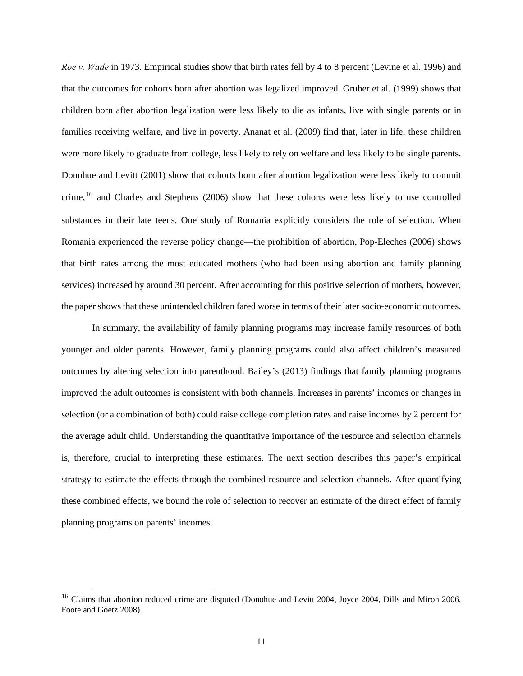*Roe v. Wade* in 1973. Empirical studies show that birth rates fell by 4 to 8 percent (Levine et al. 1996) and that the outcomes for cohorts born after abortion was legalized improved. Gruber et al. (1999) shows that children born after abortion legalization were less likely to die as infants, live with single parents or in families receiving welfare, and live in poverty. Ananat et al. (2009) find that, later in life, these children were more likely to graduate from college, less likely to rely on welfare and less likely to be single parents. Donohue and Levitt (2001) show that cohorts born after abortion legalization were less likely to commit crime,<sup>[16](#page-12-0)</sup> and Charles and Stephens (2006) show that these cohorts were less likely to use controlled substances in their late teens. One study of Romania explicitly considers the role of selection. When Romania experienced the reverse policy change—the prohibition of abortion, Pop-Eleches (2006) shows that birth rates among the most educated mothers (who had been using abortion and family planning services) increased by around 30 percent. After accounting for this positive selection of mothers, however, the paper shows that these unintended children fared worse in terms of their later socio-economic outcomes.

In summary, the availability of family planning programs may increase family resources of both younger and older parents. However, family planning programs could also affect children's measured outcomes by altering selection into parenthood. Bailey's (2013) findings that family planning programs improved the adult outcomes is consistent with both channels. Increases in parents' incomes or changes in selection (or a combination of both) could raise college completion rates and raise incomes by 2 percent for the average adult child. Understanding the quantitative importance of the resource and selection channels is, therefore, crucial to interpreting these estimates. The next section describes this paper's empirical strategy to estimate the effects through the combined resource and selection channels. After quantifying these combined effects, we bound the role of selection to recover an estimate of the direct effect of family planning programs on parents' incomes.

<span id="page-12-0"></span><sup>&</sup>lt;sup>16</sup> Claims that abortion reduced crime are disputed (Donohue and Levitt 2004, Joyce 2004, Dills and Miron 2006, Foote and Goetz 2008).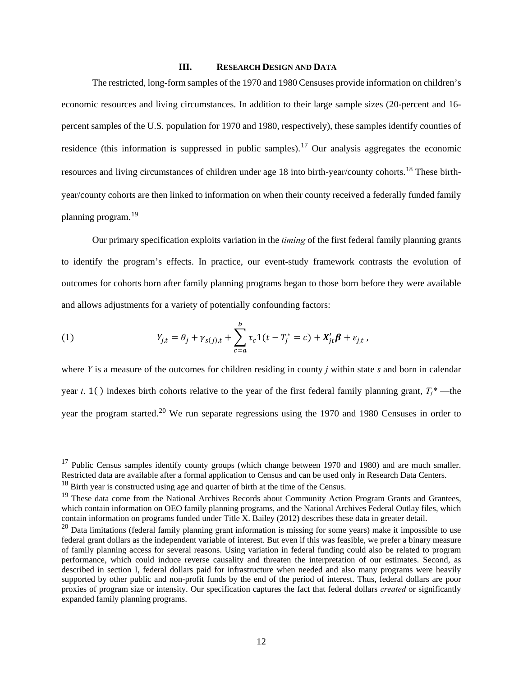#### **III. RESEARCH DESIGN AND DATA**

The restricted, long-form samples of the 1970 and 1980 Censuses provide information on children's economic resources and living circumstances. In addition to their large sample sizes (20-percent and 16 percent samples of the U.S. population for 1970 and 1980, respectively), these samples identify counties of residence (this information is suppressed in public samples).<sup>[17](#page-13-0)</sup> Our analysis aggregates the economic resources and living circumstances of children under age [18](#page-13-1) into birth-year/county cohorts.<sup>18</sup> These birthyear/county cohorts are then linked to information on when their county received a federally funded family planning program.[19](#page-13-2) 

Our primary specification exploits variation in the *timing* of the first federal family planning grants to identify the program's effects. In practice, our event-study framework contrasts the evolution of outcomes for cohorts born after family planning programs began to those born before they were available and allows adjustments for a variety of potentially confounding factors:

(1) 
$$
Y_{j,t} = \theta_j + \gamma_{s(j),t} + \sum_{c=a}^{b} \tau_c 1(t - T_j^* = c) + X'_{jt} \beta + \varepsilon_{j,t},
$$

where *Y* is a measure of the outcomes for children residing in county *j* within state *s* and born in calendar year *t*. 1( ) indexes birth cohorts relative to the year of the first federal family planning grant,  $T_i^*$ —the year the program started.<sup>[20](#page-13-3)</sup> We run separate regressions using the 1970 and 1980 Censuses in order to

<span id="page-13-0"></span><sup>&</sup>lt;sup>17</sup> Public Census samples identify county groups (which change between 1970 and 1980) and are much smaller. Restricted data are available after a formal application to Census and can be used only in Research Data Centers.

<span id="page-13-1"></span> $18$  Birth year is constructed using age and quarter of birth at the time of the Census.

<span id="page-13-2"></span><sup>&</sup>lt;sup>19</sup> These data come from the National Archives Records about Community Action Program Grants and Grantees, which contain information on OEO family planning programs, and the National Archives Federal Outlay files, which contain information on programs funded under Title X. Bailey (2012) describes these data in greater detail.

<span id="page-13-3"></span> $20$  Data limitations (federal family planning grant information is missing for some years) make it impossible to use federal grant dollars as the independent variable of interest. But even if this was feasible, we prefer a binary measure of family planning access for several reasons. Using variation in federal funding could also be related to program performance, which could induce reverse causality and threaten the interpretation of our estimates. Second, as described in section I, federal dollars paid for infrastructure when needed and also many programs were heavily supported by other public and non-profit funds by the end of the period of interest. Thus, federal dollars are poor proxies of program size or intensity. Our specification captures the fact that federal dollars *created* or significantly expanded family planning programs.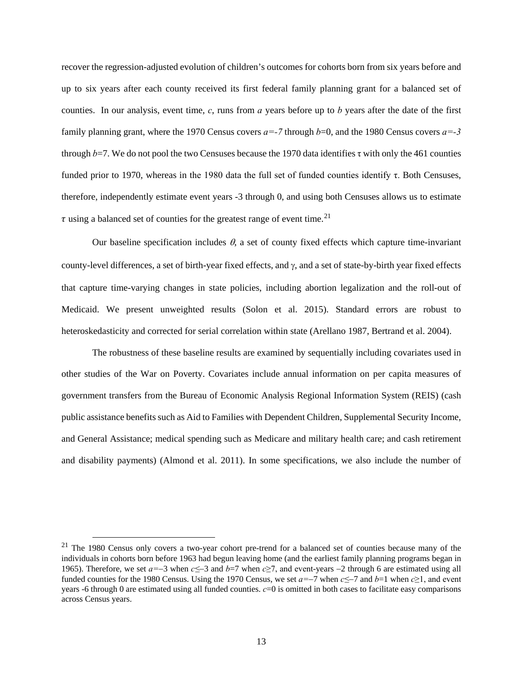recover the regression-adjusted evolution of children's outcomes for cohorts born from six years before and up to six years after each county received its first federal family planning grant for a balanced set of counties. In our analysis, event time, *c*, runs from *a* years before up to *b* years after the date of the first family planning grant, where the 1970 Census covers  $a=-7$  through  $b=0$ , and the 1980 Census covers  $a=-3$ through  $b=7$ . We do not pool the two Censuses because the 1970 data identifies  $\tau$  with only the 461 counties funded prior to 1970, whereas in the 1980 data the full set of funded counties identify τ. Both Censuses, therefore, independently estimate event years -3 through 0, and using both Censuses allows us to estimate  $\tau$  using a balanced set of counties for the greatest range of event time.<sup>21</sup>

Our baseline specification includes  $\theta$ , a set of county fixed effects which capture time-invariant county-level differences, a set of birth-year fixed effects, and  $\gamma$ , and a set of state-by-birth year fixed effects that capture time-varying changes in state policies, including abortion legalization and the roll-out of Medicaid. We present unweighted results (Solon et al. 2015). Standard errors are robust to heteroskedasticity and corrected for serial correlation within state (Arellano 1987, Bertrand et al. 2004).

The robustness of these baseline results are examined by sequentially including covariates used in other studies of the War on Poverty. Covariates include annual information on per capita measures of government transfers from the Bureau of Economic Analysis Regional Information System (REIS) (cash public assistance benefits such as Aid to Families with Dependent Children, Supplemental Security Income, and General Assistance; medical spending such as Medicare and military health care; and cash retirement and disability payments) (Almond et al. 2011). In some specifications, we also include the number of

<span id="page-14-0"></span> $21$  The 1980 Census only covers a two-year cohort pre-trend for a balanced set of counties because many of the individuals in cohorts born before 1963 had begun leaving home (and the earliest family planning programs began in 1965). Therefore, we set *a=*−3 when *c≤*−3 and *b*=7 when *c*≥7, and event-years −2 through 6 are estimated using all funded counties for the 1980 Census. Using the 1970 Census, we set *a=*−7 when *c≤*−7 and *b*=1 when *c*≥1, and event years -6 through 0 are estimated using all funded counties. *c*=0 is omitted in both cases to facilitate easy comparisons across Census years.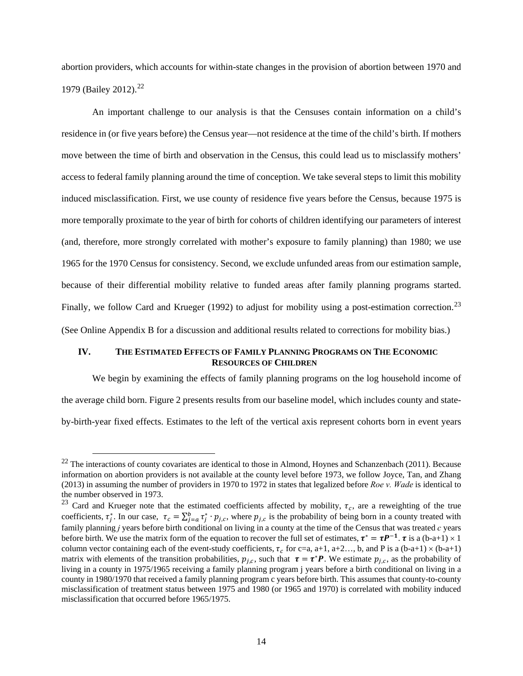abortion providers, which accounts for within-state changes in the provision of abortion between 1970 and 1979 (Bailey 2012). [22](#page-15-0) 

An important challenge to our analysis is that the Censuses contain information on a child's residence in (or five years before) the Census year—not residence at the time of the child's birth. If mothers move between the time of birth and observation in the Census, this could lead us to misclassify mothers' access to federal family planning around the time of conception. We take several steps to limit this mobility induced misclassification. First, we use county of residence five years before the Census, because 1975 is more temporally proximate to the year of birth for cohorts of children identifying our parameters of interest (and, therefore, more strongly correlated with mother's exposure to family planning) than 1980; we use 1965 for the 1970 Census for consistency. Second, we exclude unfunded areas from our estimation sample, because of their differential mobility relative to funded areas after family planning programs started. Finally, we follow Card and Krueger (1992) to adjust for mobility using a post-estimation correction.<sup>[23](#page-15-1)</sup> (See Online Appendix B for a discussion and additional results related to corrections for mobility bias.)

### **IV. THE ESTIMATED EFFECTS OF FAMILY PLANNING PROGRAMS ON THE ECONOMIC RESOURCES OF CHILDREN**

We begin by examining the effects of family planning programs on the log household income of the average child born. [Figure 2](#page-30-1) presents results from our baseline model, which includes county and stateby-birth-year fixed effects. Estimates to the left of the vertical axis represent cohorts born in event years

<span id="page-15-0"></span> $22$  The interactions of county covariates are identical to those in Almond, Hoynes and Schanzenbach (2011). Because information on abortion providers is not available at the county level before 1973, we follow Joyce, Tan, and Zhang (2013) in assuming the number of providers in 1970 to 1972 in states that legalized before *Roe v. Wade* is identical to

<span id="page-15-1"></span>the number observed in 1973.<br><sup>23</sup> Card and Krueger note that the estimated coefficients affected by mobility,  $\tau_c$ , are a reweighting of the true coefficients,  $\tau_j^*$ . In our case,  $\tau_c = \sum_{j=a}^b \tau_j^* \cdot p_{j,c}$ , where  $p_{j,c}$  is the probability of being born in a county treated with family planning *j* years before birth conditional on living in a county at the time of the Census that was treated *c* years before birth. We use the matrix form of the equation to recover the full set of estimates,  $\tau^* = \tau P^{-1}$ .  $\tau$  is a (b-a+1) × 1 column vector containing each of the event-study coefficients,  $\tau_c$  for c=a, a+1, a+2…, b, and P is a (b-a+1)  $\times$  (b-a+1) matrix with elements of the transition probabilities,  $p_{i,c}$ , such that  $\tau = \tau^* P$ . We estimate  $p_{i,c}$ , as the probability of living in a county in 1975/1965 receiving a family planning program j years before a birth conditional on living in a county in 1980/1970 that received a family planning program c years before birth. This assumes that county-to-county misclassification of treatment status between 1975 and 1980 (or 1965 and 1970) is correlated with mobility induced misclassification that occurred before 1965/1975.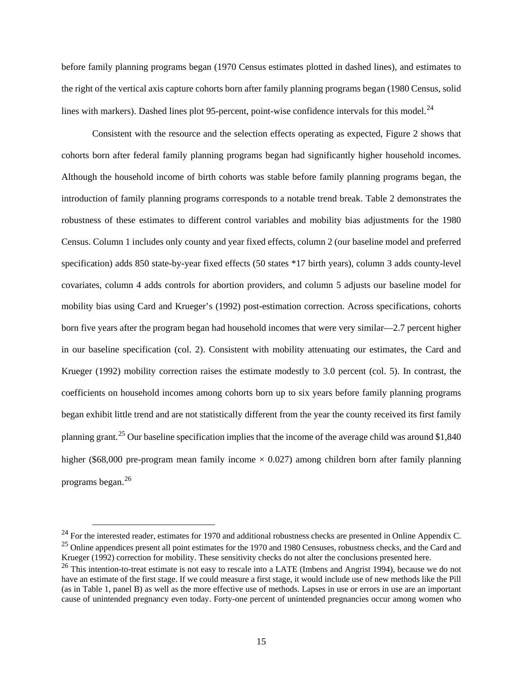before family planning programs began (1970 Census estimates plotted in dashed lines), and estimates to the right of the vertical axis capture cohorts born after family planning programs began (1980 Census, solid lines with markers). Dashed lines plot 95-percent, point-wise confidence intervals for this model.<sup>24</sup>

Consistent with the resource and the selection effects operating as expected, [Figure 2](#page-30-1) shows that cohorts born after federal family planning programs began had significantly higher household incomes. Although the household income of birth cohorts was stable before family planning programs began, the introduction of family planning programs corresponds to a notable trend break. Table 2 demonstrates the robustness of these estimates to different control variables and mobility bias adjustments for the 1980 Census. Column 1 includes only county and year fixed effects, column 2 (our baseline model and preferred specification) adds 850 state-by-year fixed effects (50 states \*17 birth years), column 3 adds county-level covariates, column 4 adds controls for abortion providers, and column 5 adjusts our baseline model for mobility bias using Card and Krueger's (1992) post-estimation correction. Across specifications, cohorts born five years after the program began had household incomes that were very similar—2.7 percent higher in our baseline specification (col. 2). Consistent with mobility attenuating our estimates, the Card and Krueger (1992) mobility correction raises the estimate modestly to 3.0 percent (col. 5). In contrast, the coefficients on household incomes among cohorts born up to six years before family planning programs began exhibit little trend and are not statistically different from the year the county received its first family planning grant.<sup>[25](#page-16-1)</sup> Our baseline specification implies that the income of the average child was around \$1,840 higher (\$68,000 pre-program mean family income  $\times$  0.027) among children born after family planning programs began.[26](#page-16-2) 

<span id="page-16-1"></span><span id="page-16-0"></span><sup>&</sup>lt;sup>24</sup> For the interested reader, estimates for 1970 and additional robustness checks are presented in Online Appendix C.  $^{25}$  Online appendices present all point estimates for the 1970 and 1980 Censuses, robustness checks, and the Card and Krueger (1992) correction for mobility. These sensitivity checks do not alter the conclusions presented here.<br><sup>26</sup> This intention-to-treat estimate is not easy to rescale into a LATE (Imbens and Angrist 1994), because we d

<span id="page-16-2"></span>have an estimate of the first stage. If we could measure a first stage, it would include use of new methods like the Pill (as in Table 1, panel B) as well as the more effective use of methods. Lapses in use or errors in use are an important cause of unintended pregnancy even today. Forty-one percent of unintended pregnancies occur among women who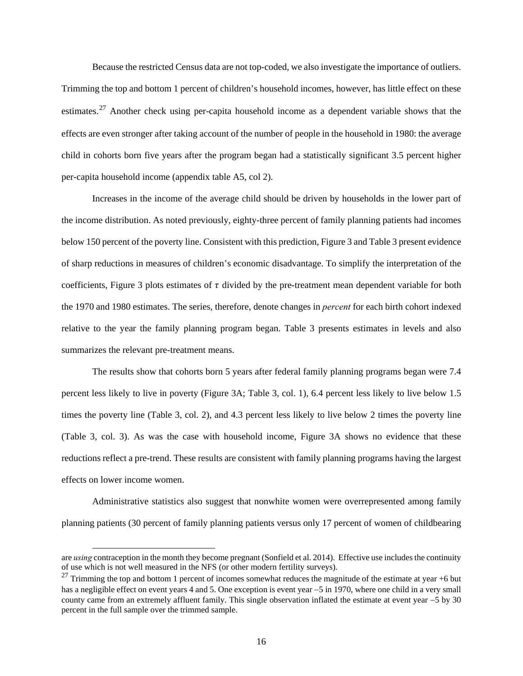Because the restricted Census data are not top-coded, we also investigate the importance of outliers. Trimming the top and bottom 1 percent of children's household incomes, however, has little effect on these estimates.<sup>[27](#page-17-0)</sup> Another check using per-capita household income as a dependent variable shows that the effects are even stronger after taking account of the number of people in the household in 1980: the average child in cohorts born five years after the program began had a statistically significant 3.5 percent higher per-capita household income (appendix table A5, col 2).

Increases in the income of the average child should be driven by households in the lower part of the income distribution. As noted previously, eighty-three percent of family planning patients had incomes below 150 percent of the poverty line. Consistent with this prediction, [Figure 3](#page-32-0) an[d Table 3](#page-35-0) present evidence of sharp reductions in measures of children's economic disadvantage. To simplify the interpretation of the coefficients, [Figure 3](#page-32-0) plots estimates of  $\tau$  divided by the pre-treatment mean dependent variable for both the 1970 and 1980 estimates. The series, therefore, denote changes in *percent* for each birth cohort indexed relative to the year the family planning program began. [Table 3](#page-35-0) presents estimates in levels and also summarizes the relevant pre-treatment means.

The results show that cohorts born 5 years after federal family planning programs began were 7.4 percent less likely to live in poverty [\(Figure 3A](#page-32-0); [Table 3,](#page-35-0) col. 1), 6.4 percent less likely to live below 1.5 times the poverty line [\(Table 3,](#page-35-0) col. 2), and 4.3 percent less likely to live below 2 times the poverty line [\(Table 3,](#page-35-0) col. 3). As was the case with household income, [Figure 3A](#page-32-0) shows no evidence that these reductions reflect a pre-trend. These results are consistent with family planning programs having the largest effects on lower income women.

Administrative statistics also suggest that nonwhite women were overrepresented among family planning patients (30 percent of family planning patients versus only 17 percent of women of childbearing

 $\overline{a}$ 

are *using* contraception in the month they become pregnant (Sonfield et al. 2014). Effective use includes the continuity of use which is not well measured in the NFS (or other modern fertility surveys).

<span id="page-17-0"></span><sup>&</sup>lt;sup>27</sup> Trimming the top and bottom 1 percent of incomes somewhat reduces the magnitude of the estimate at year +6 but has a negligible effect on event years 4 and 5. One exception is event year −5 in 1970, where one child in a very small county came from an extremely affluent family. This single observation inflated the estimate at event year −5 by 30 percent in the full sample over the trimmed sample.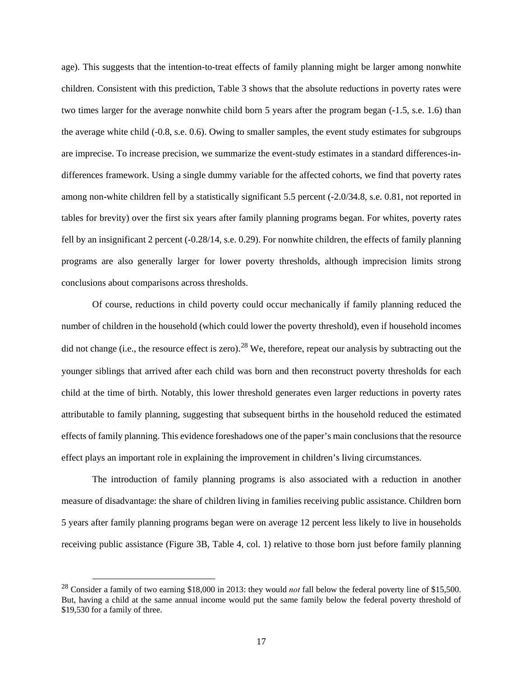age). This suggests that the intention-to-treat effects of family planning might be larger among nonwhite children. Consistent with this prediction, [Table 3](#page-35-0) shows that the absolute reductions in poverty rates were two times larger for the average nonwhite child born 5 years after the program began (-1.5, s.e. 1.6) than the average white child (-0.8, s.e. 0.6). Owing to smaller samples, the event study estimates for subgroups are imprecise. To increase precision, we summarize the event-study estimates in a standard differences-indifferences framework. Using a single dummy variable for the affected cohorts, we find that poverty rates among non-white children fell by a statistically significant 5.5 percent (-2.0/34.8, s.e. 0.81, not reported in tables for brevity) over the first six years after family planning programs began. For whites, poverty rates fell by an insignificant 2 percent (-0.28/14, s.e. 0.29). For nonwhite children, the effects of family planning programs are also generally larger for lower poverty thresholds, although imprecision limits strong conclusions about comparisons across thresholds.

Of course, reductions in child poverty could occur mechanically if family planning reduced the number of children in the household (which could lower the poverty threshold), even if household incomes did not change (i.e., the resource effect is zero).<sup>[28](#page-18-0)</sup> We, therefore, repeat our analysis by subtracting out the younger siblings that arrived after each child was born and then reconstruct poverty thresholds for each child at the time of birth. Notably, this lower threshold generates even larger reductions in poverty rates attributable to family planning, suggesting that subsequent births in the household reduced the estimated effects of family planning. This evidence foreshadows one of the paper's main conclusions that the resource effect plays an important role in explaining the improvement in children's living circumstances.

The introduction of family planning programs is also associated with a reduction in another measure of disadvantage: the share of children living in families receiving public assistance. Children born 5 years after family planning programs began were on average 12 percent less likely to live in households receiving public assistance (Figure 3B, [Table 4,](#page-36-0) col. 1) relative to those born just before family planning

<span id="page-18-0"></span> <sup>28</sup> Consider a family of two earning \$18,000 in 2013: they would *not* fall below the federal poverty line of \$15,500. But, having a child at the same annual income would put the same family below the federal poverty threshold of \$19,530 for a family of three.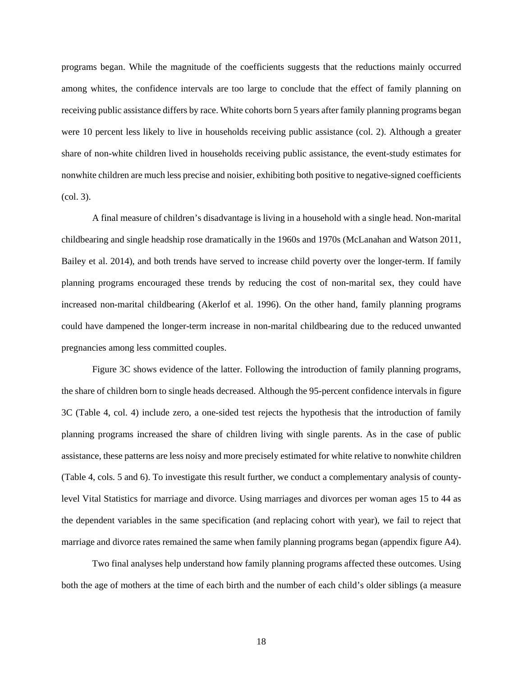programs began. While the magnitude of the coefficients suggests that the reductions mainly occurred among whites, the confidence intervals are too large to conclude that the effect of family planning on receiving public assistance differs by race. White cohorts born 5 years after family planning programs began were 10 percent less likely to live in households receiving public assistance (col. 2). Although a greater share of non-white children lived in households receiving public assistance, the event-study estimates for nonwhite children are much less precise and noisier, exhibiting both positive to negative-signed coefficients (col. 3).

A final measure of children's disadvantage is living in a household with a single head. Non-marital childbearing and single headship rose dramatically in the 1960s and 1970s (McLanahan and Watson 2011, Bailey et al. 2014), and both trends have served to increase child poverty over the longer-term. If family planning programs encouraged these trends by reducing the cost of non-marital sex, they could have increased non-marital childbearing (Akerlof et al. 1996). On the other hand, family planning programs could have dampened the longer-term increase in non-marital childbearing due to the reduced unwanted pregnancies among less committed couples.

Figure 3C shows evidence of the latter. Following the introduction of family planning programs, the share of children born to single heads decreased. Although the 95-percent confidence intervals in figure 3C [\(Table 4,](#page-36-0) col. 4) include zero, a one-sided test rejects the hypothesis that the introduction of family planning programs increased the share of children living with single parents. As in the case of public assistance, these patterns are less noisy and more precisely estimated for white relative to nonwhite children [\(Table 4,](#page-36-0) cols. 5 and 6). To investigate this result further, we conduct a complementary analysis of countylevel Vital Statistics for marriage and divorce. Using marriages and divorces per woman ages 15 to 44 as the dependent variables in the same specification (and replacing cohort with year), we fail to reject that marriage and divorce rates remained the same when family planning programs began (appendix figure A4).

Two final analyses help understand how family planning programs affected these outcomes. Using both the age of mothers at the time of each birth and the number of each child's older siblings (a measure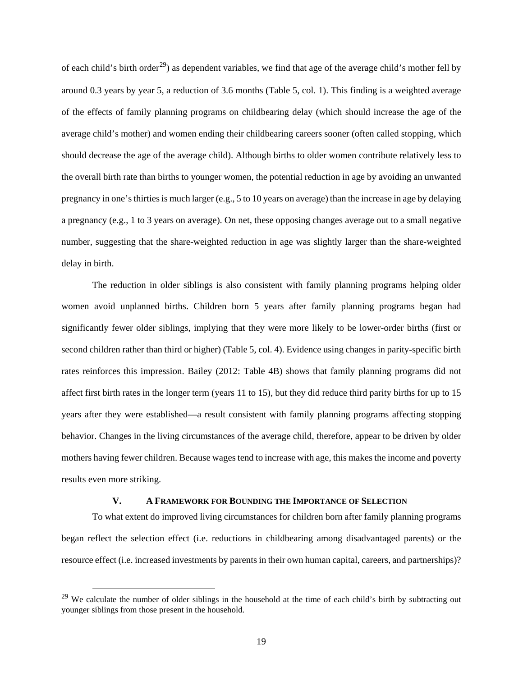of each child's birth order<sup>29</sup>) as dependent variables, we find that age of the average child's mother fell by around 0.3 years by year 5, a reduction of 3.6 months [\(Table 5,](#page-37-0) col. 1). This finding is a weighted average of the effects of family planning programs on childbearing delay (which should increase the age of the average child's mother) and women ending their childbearing careers sooner (often called stopping, which should decrease the age of the average child). Although births to older women contribute relatively less to the overall birth rate than births to younger women, the potential reduction in age by avoiding an unwanted pregnancy in one's thirties is much larger (e.g., 5 to 10 years on average) than the increase in age by delaying a pregnancy (e.g., 1 to 3 years on average). On net, these opposing changes average out to a small negative number, suggesting that the share-weighted reduction in age was slightly larger than the share-weighted delay in birth.

The reduction in older siblings is also consistent with family planning programs helping older women avoid unplanned births. Children born 5 years after family planning programs began had significantly fewer older siblings, implying that they were more likely to be lower-order births (first or second children rather than third or higher) [\(Table 5,](#page-37-0) col. 4). Evidence using changes in parity-specific birth rates reinforces this impression. Bailey (2012: [Table 4B](#page-36-0)) shows that family planning programs did not affect first birth rates in the longer term (years 11 to 15), but they did reduce third parity births for up to 15 years after they were established—a result consistent with family planning programs affecting stopping behavior. Changes in the living circumstances of the average child, therefore, appear to be driven by older mothers having fewer children. Because wages tend to increase with age, this makes the income and poverty results even more striking.

### **V. A FRAMEWORK FOR BOUNDING THE IMPORTANCE OF SELECTION**

To what extent do improved living circumstances for children born after family planning programs began reflect the selection effect (i.e. reductions in childbearing among disadvantaged parents) or the resource effect (i.e. increased investments by parents in their own human capital, careers, and partnerships)?

<span id="page-20-0"></span> $^{29}$  We calculate the number of older siblings in the household at the time of each child's birth by subtracting out younger siblings from those present in the household.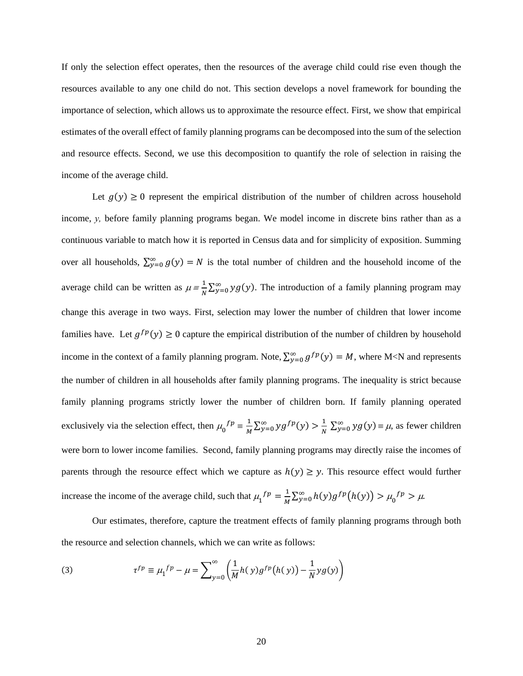If only the selection effect operates, then the resources of the average child could rise even though the resources available to any one child do not. This section develops a novel framework for bounding the importance of selection, which allows us to approximate the resource effect. First, we show that empirical estimates of the overall effect of family planning programs can be decomposed into the sum of the selection and resource effects. Second, we use this decomposition to quantify the role of selection in raising the income of the average child.

Let  $g(y) \ge 0$  represent the empirical distribution of the number of children across household income, *y,* before family planning programs began. We model income in discrete bins rather than as a continuous variable to match how it is reported in Census data and for simplicity of exposition. Summing over all households,  $\sum_{y=0}^{\infty} g(y) = N$  is the total number of children and the household income of the average child can be written as  $\mu = \frac{1}{N} \sum_{y=0}^{\infty} y g(y)$ . The introduction of a family planning program may change this average in two ways. First, selection may lower the number of children that lower income families have. Let  $g^{fp}(y) \ge 0$  capture the empirical distribution of the number of children by household income in the context of a family planning program. Note,  $\sum_{y=0}^{\infty} g^{fp}(y) = M$ , where M<N and represents the number of children in all households after family planning programs. The inequality is strict because family planning programs strictly lower the number of children born. If family planning operated exclusively via the selection effect, then  $\mu_0^{f p} = \frac{1}{M} \sum_{y=0}^{\infty} y g^{f p}(y) > \frac{1}{N} \sum_{y=0}^{\infty} y g(y) = \mu$ , as fewer children were born to lower income families. Second, family planning programs may directly raise the incomes of parents through the resource effect which we capture as  $h(y) \ge y$ . This resource effect would further increase the income of the average child, such that  $\mu_1^{fp} = \frac{1}{M} \sum_{y=0}^{\infty} h(y) g^{fp} (h(y)) > \mu_0^{fp} > \mu$ .

Our estimates, therefore, capture the treatment effects of family planning programs through both the resource and selection channels, which we can write as follows:

(3) 
$$
\tau^{fp} \equiv \mu_1^{fp} - \mu = \sum_{y=0}^{\infty} \left( \frac{1}{M} h(y) g^{fp}(h(y)) - \frac{1}{N} y g(y) \right)
$$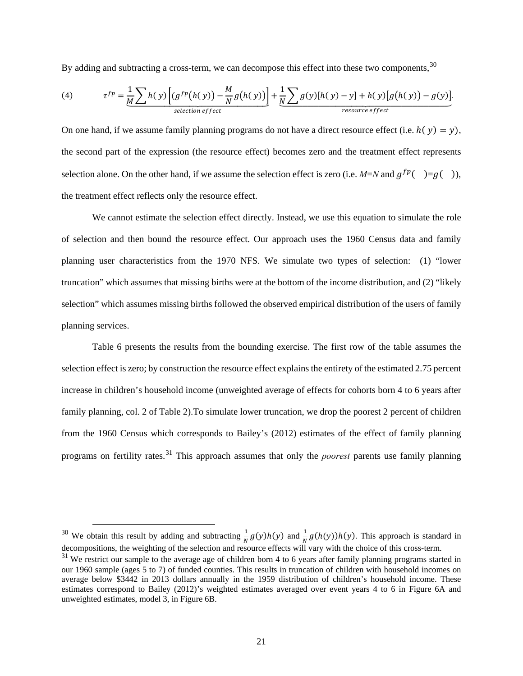By adding and subtracting a cross-term, we can decompose this effect into these two components,  $30$ 

(4) 
$$
\tau^{fp} = \underbrace{\frac{1}{M} \sum h(y) \left[ (g^{fp}(h(y)) - \frac{M}{N} g(h(y)) \right]}_{selection \, effect} + \underbrace{\frac{1}{N} \sum g(y) [h(y) - y] + h(y) [g(h(y)) - g(y)]}_{resource \, effect}.
$$

On one hand, if we assume family planning programs do not have a direct resource effect (i.e.  $h(y) = y$ ), the second part of the expression (the resource effect) becomes zero and the treatment effect represents selection alone. On the other hand, if we assume the selection effect is zero (i.e.  $M=N$  and  $g^{fp}$   $=g( )$ ), the treatment effect reflects only the resource effect.

We cannot estimate the selection effect directly. Instead, we use this equation to simulate the role of selection and then bound the resource effect. Our approach uses the 1960 Census data and family planning user characteristics from the 1970 NFS. We simulate two types of selection: (1) "lower truncation" which assumes that missing births were at the bottom of the income distribution, and (2) "likely selection" which assumes missing births followed the observed empirical distribution of the users of family planning services.

[Table 6](#page-38-0) presents the results from the bounding exercise. The first row of the table assumes the selection effect is zero; by construction the resource effect explains the entirety of the estimated 2.75 percent increase in children's household income (unweighted average of effects for cohorts born 4 to 6 years after family planning, col. 2 of [Table 2\)](#page-34-0).To simulate lower truncation, we drop the poorest 2 percent of children from the 1960 Census which corresponds to Bailey's (2012) estimates of the effect of family planning programs on fertility rates.[31](#page-22-1) This approach assumes that only the *poorest* parents use family planning

<span id="page-22-0"></span><sup>&</sup>lt;sup>30</sup> We obtain this result by adding and subtracting  $\frac{1}{N}g(y)h(y)$  and  $\frac{1}{N}g(h(y))h(y)$ . This approach is standard in decompositions, the weighting of the selection and resource effects will vary with the choice of this cross-term.

<span id="page-22-1"></span> $31$  We restrict our sample to the average age of children born 4 to 6 years after family planning programs started in our 1960 sample (ages 5 to 7) of funded counties. This results in truncation of children with household incomes on average below \$3442 in 2013 dollars annually in the 1959 distribution of children's household income. These estimates correspond to Bailey (2012)'s weighted estimates averaged over event years 4 to 6 in Figure 6A and unweighted estimates, model 3, in Figure 6B.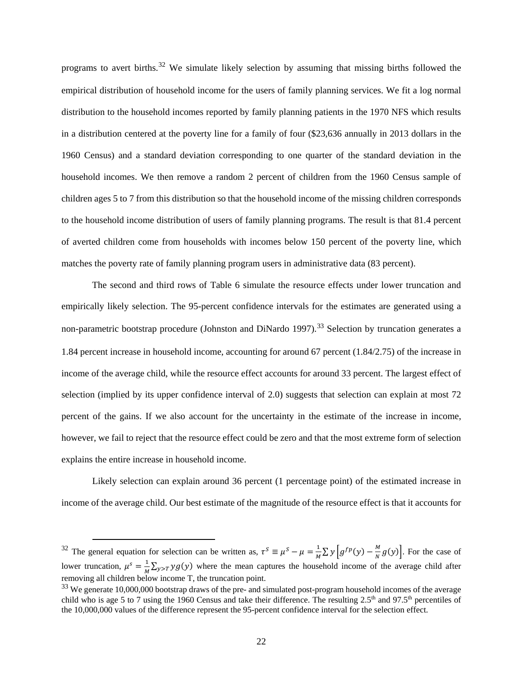programs to avert births.<sup>[32](#page-23-0)</sup> We simulate likely selection by assuming that missing births followed the empirical distribution of household income for the users of family planning services. We fit a log normal distribution to the household incomes reported by family planning patients in the 1970 NFS which results in a distribution centered at the poverty line for a family of four (\$23,636 annually in 2013 dollars in the 1960 Census) and a standard deviation corresponding to one quarter of the standard deviation in the household incomes. We then remove a random 2 percent of children from the 1960 Census sample of children ages 5 to 7 from this distribution so that the household income of the missing children corresponds to the household income distribution of users of family planning programs. The result is that 81.4 percent of averted children come from households with incomes below 150 percent of the poverty line, which matches the poverty rate of family planning program users in administrative data (83 percent).

The second and third rows of Table 6 simulate the resource effects under lower truncation and empirically likely selection. The 95-percent confidence intervals for the estimates are generated using a non-parametric bootstrap procedure (Johnston and DiNardo 1997).<sup>[33](#page-23-1)</sup> Selection by truncation generates a 1.84 percent increase in household income, accounting for around 67 percent (1.84/2.75) of the increase in income of the average child, while the resource effect accounts for around 33 percent. The largest effect of selection (implied by its upper confidence interval of 2.0) suggests that selection can explain at most 72 percent of the gains. If we also account for the uncertainty in the estimate of the increase in income, however, we fail to reject that the resource effect could be zero and that the most extreme form of selection explains the entire increase in household income.

Likely selection can explain around 36 percent (1 percentage point) of the estimated increase in income of the average child. Our best estimate of the magnitude of the resource effect is that it accounts for

<span id="page-23-0"></span><sup>&</sup>lt;sup>32</sup> The general equation for selection can be written as,  $\tau^S = \mu^S - \mu = \frac{1}{M} \sum y \left[ g^{fp}(y) - \frac{M}{N} g(y) \right]$ . For the case of lower truncation,  $\mu^s = \frac{1}{M} \sum_{y>T} yg(y)$  where the mean captures the household income of the average child after removing all children below income T, the truncation point.

<span id="page-23-1"></span><sup>&</sup>lt;sup>33</sup> We generate 10,000,000 bootstrap draws of the pre- and simulated post-program household incomes of the average child who is age 5 to 7 using the 1960 Census and take their difference. The resulting 2.5<sup>th</sup> and 97.5<sup>th</sup> percentiles of the 10,000,000 values of the difference represent the 95-percent confidence interval for the selection effect.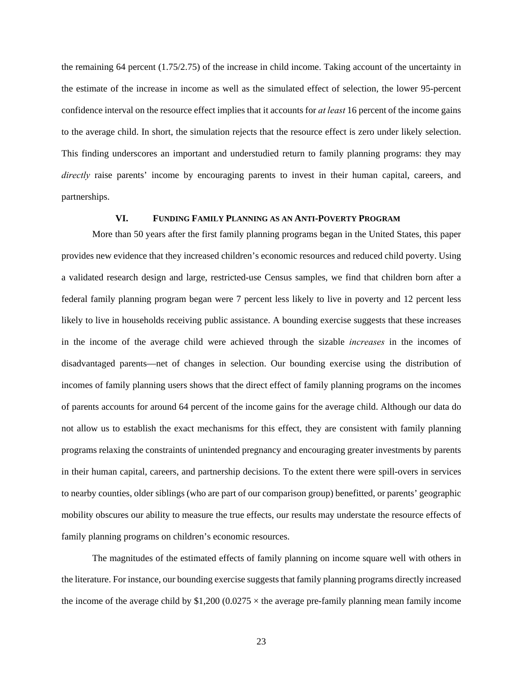the remaining 64 percent (1.75/2.75) of the increase in child income. Taking account of the uncertainty in the estimate of the increase in income as well as the simulated effect of selection, the lower 95-percent confidence interval on the resource effect implies that it accounts for *at least* 16 percent of the income gains to the average child. In short, the simulation rejects that the resource effect is zero under likely selection. This finding underscores an important and understudied return to family planning programs: they may *directly* raise parents' income by encouraging parents to invest in their human capital, careers, and partnerships.

## **VI. FUNDING FAMILY PLANNING AS AN ANTI-POVERTY PROGRAM**

More than 50 years after the first family planning programs began in the United States, this paper provides new evidence that they increased children's economic resources and reduced child poverty. Using a validated research design and large, restricted-use Census samples, we find that children born after a federal family planning program began were 7 percent less likely to live in poverty and 12 percent less likely to live in households receiving public assistance. A bounding exercise suggests that these increases in the income of the average child were achieved through the sizable *increases* in the incomes of disadvantaged parents—net of changes in selection. Our bounding exercise using the distribution of incomes of family planning users shows that the direct effect of family planning programs on the incomes of parents accounts for around 64 percent of the income gains for the average child. Although our data do not allow us to establish the exact mechanisms for this effect, they are consistent with family planning programs relaxing the constraints of unintended pregnancy and encouraging greater investments by parents in their human capital, careers, and partnership decisions. To the extent there were spill-overs in services to nearby counties, older siblings (who are part of our comparison group) benefitted, or parents' geographic mobility obscures our ability to measure the true effects, our results may understate the resource effects of family planning programs on children's economic resources.

The magnitudes of the estimated effects of family planning on income square well with others in the literature. For instance, our bounding exercise suggests that family planning programs directly increased the income of the average child by  $$1,200 (0.0275 \times$  the average pre-family planning mean family income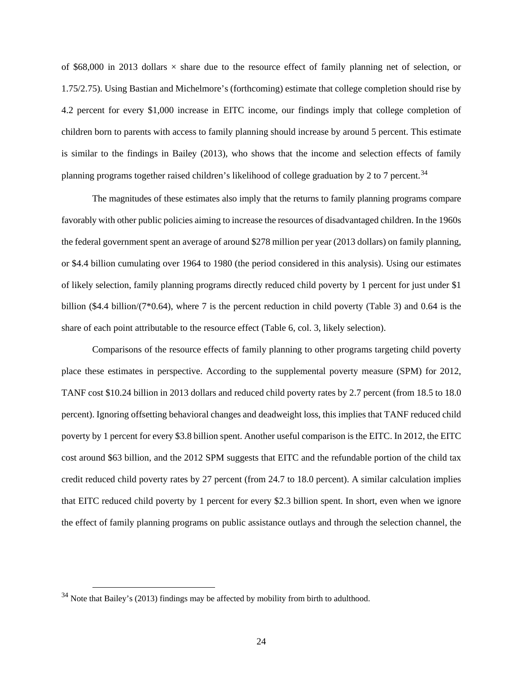of \$68,000 in 2013 dollars  $\times$  share due to the resource effect of family planning net of selection, or 1.75/2.75). Using Bastian and Michelmore's (forthcoming) estimate that college completion should rise by 4.2 percent for every \$1,000 increase in EITC income, our findings imply that college completion of children born to parents with access to family planning should increase by around 5 percent. This estimate is similar to the findings in Bailey (2013), who shows that the income and selection effects of family planning programs together raised children's likelihood of college graduation by 2 to 7 percent.<sup>34</sup>

The magnitudes of these estimates also imply that the returns to family planning programs compare favorably with other public policies aiming to increase the resources of disadvantaged children. In the 1960s the federal government spent an average of around \$278 million per year (2013 dollars) on family planning, or \$4.4 billion cumulating over 1964 to 1980 (the period considered in this analysis). Using our estimates of likely selection, family planning programs directly reduced child poverty by 1 percent for just under \$1 billion (\$4.4 billion/ $(7*0.64)$ , where 7 is the percent reduction in child poverty [\(Table 3\)](#page-35-0) and 0.64 is the share of each point attributable to the resource effect [\(Table 6,](#page-38-0) col. 3, likely selection).

Comparisons of the resource effects of family planning to other programs targeting child poverty place these estimates in perspective. According to the supplemental poverty measure (SPM) for 2012, TANF cost \$10.24 billion in 2013 dollars and reduced child poverty rates by 2.7 percent (from 18.5 to 18.0 percent). Ignoring offsetting behavioral changes and deadweight loss, this implies that TANF reduced child poverty by 1 percent for every \$3.8 billion spent. Another useful comparison is the EITC. In 2012, the EITC cost around \$63 billion, and the 2012 SPM suggests that EITC and the refundable portion of the child tax credit reduced child poverty rates by 27 percent (from 24.7 to 18.0 percent). A similar calculation implies that EITC reduced child poverty by 1 percent for every \$2.3 billion spent. In short, even when we ignore the effect of family planning programs on public assistance outlays and through the selection channel, the

<span id="page-25-0"></span><sup>&</sup>lt;sup>34</sup> Note that Bailey's (2013) findings may be affected by mobility from birth to adulthood.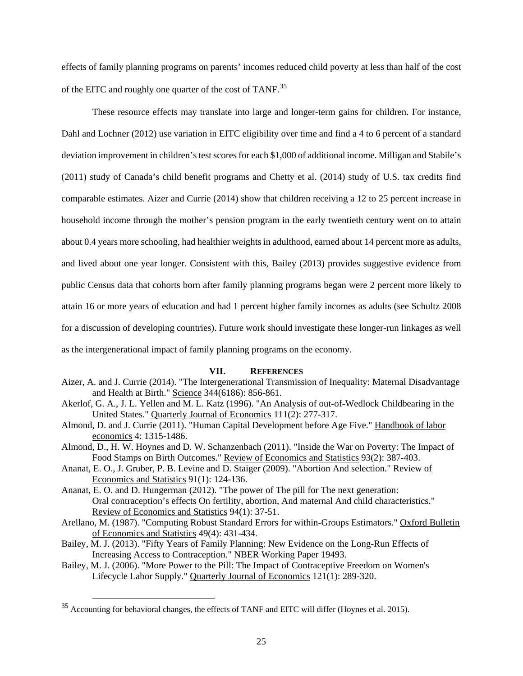effects of family planning programs on parents' incomes reduced child poverty at less than half of the cost of the EITC and roughly one quarter of the cost of TANF.[35](#page-26-0) 

These resource effects may translate into large and longer-term gains for children. For instance, Dahl and Lochner (2012) use variation in EITC eligibility over time and find a 4 to 6 percent of a standard deviation improvement in children's test scores for each \$1,000 of additional income. Milligan and Stabile's (2011) study of Canada's child benefit programs and Chetty et al. (2014) study of U.S. tax credits find comparable estimates. Aizer and Currie (2014) show that children receiving a 12 to 25 percent increase in household income through the mother's pension program in the early twentieth century went on to attain about 0.4 years more schooling, had healthier weights in adulthood, earned about 14 percent more as adults, and lived about one year longer. Consistent with this, Bailey (2013) provides suggestive evidence from public Census data that cohorts born after family planning programs began were 2 percent more likely to attain 16 or more years of education and had 1 percent higher family incomes as adults (see Schultz 2008 for a discussion of developing countries). Future work should investigate these longer-run linkages as well as the intergenerational impact of family planning programs on the economy.

#### **VII. REFERENCES**

- Aizer, A. and J. Currie (2014). "The Intergenerational Transmission of Inequality: Maternal Disadvantage and Health at Birth." Science 344(6186): 856-861.
- Akerlof, G. A., J. L. Yellen and M. L. Katz (1996). "An Analysis of out-of-Wedlock Childbearing in the United States." Quarterly Journal of Economics 111(2): 277-317.
- Almond, D. and J. Currie (2011). "Human Capital Development before Age Five." Handbook of labor economics 4: 1315-1486.
- Almond, D., H. W. Hoynes and D. W. Schanzenbach (2011). "Inside the War on Poverty: The Impact of Food Stamps on Birth Outcomes." Review of Economics and Statistics 93(2): 387-403.
- Ananat, E. O., J. Gruber, P. B. Levine and D. Staiger (2009). "Abortion And selection." Review of Economics and Statistics 91(1): 124-136.
- Ananat, E. O. and D. Hungerman (2012). "The power of The pill for The next generation: Oral contraception's effects On fertility, abortion, And maternal And child characteristics." Review of Economics and Statistics 94(1): 37-51.
- Arellano, M. (1987). "Computing Robust Standard Errors for within-Groups Estimators." Oxford Bulletin of Economics and Statistics 49(4): 431-434.
- Bailey, M. J. (2013). "Fifty Years of Family Planning: New Evidence on the Long-Run Effects of Increasing Access to Contraception." NBER Working Paper 19493.
- Bailey, M. J. (2006). "More Power to the Pill: The Impact of Contraceptive Freedom on Women's Lifecycle Labor Supply." Quarterly Journal of Economics 121(1): 289-320.

<span id="page-26-0"></span><sup>&</sup>lt;sup>35</sup> Accounting for behavioral changes, the effects of TANF and EITC will differ (Hoynes et al. 2015).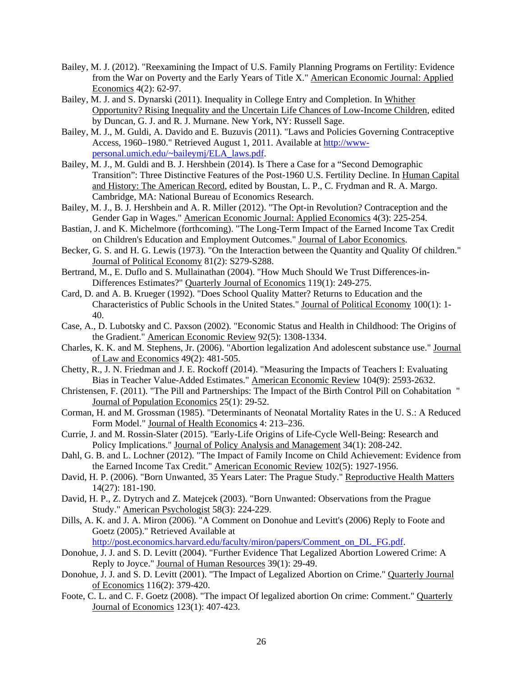- Bailey, M. J. (2012). "Reexamining the Impact of U.S. Family Planning Programs on Fertility: Evidence from the War on Poverty and the Early Years of Title X." American Economic Journal: Applied Economics 4(2): 62-97.
- Bailey, M. J. and S. Dynarski (2011). Inequality in College Entry and Completion. In Whither Opportunity? Rising Inequality and the Uncertain Life Chances of Low-Income Children, edited by Duncan, G. J. and R. J. Murnane. New York, NY: Russell Sage.
- Bailey, M. J., M. Guldi, A. Davido and E. Buzuvis (2011). "Laws and Policies Governing Contraceptive Access, 1960–1980." Retrieved August 1, 2011. Available at [http://www](http://www-personal.umich.edu/%7Ebaileymj/ELA_laws.pdf)[personal.umich.edu/~baileymj/ELA\\_laws.pdf.](http://www-personal.umich.edu/%7Ebaileymj/ELA_laws.pdf)
- Bailey, M. J., M. Guldi and B. J. Hershbein (2014). Is There a Case for a "Second Demographic Transition": Three Distinctive Features of the Post-1960 U.S. Fertility Decline. In Human Capital and History: The American Record, edited by Boustan, L. P., C. Frydman and R. A. Margo. Cambridge, MA: National Bureau of Economics Research.
- Bailey, M. J., B. J. Hershbein and A. R. Miller (2012). "The Opt-in Revolution? Contraception and the Gender Gap in Wages." American Economic Journal: Applied Economics 4(3): 225-254.
- Bastian, J. and K. Michelmore (forthcoming). "The Long-Term Impact of the Earned Income Tax Credit on Children's Education and Employment Outcomes." Journal of Labor Economics.
- Becker, G. S. and H. G. Lewis (1973). "On the Interaction between the Quantity and Quality Of children." Journal of Political Economy 81(2): S279-S288.
- Bertrand, M., E. Duflo and S. Mullainathan (2004). "How Much Should We Trust Differences-in-Differences Estimates?" Quarterly Journal of Economics 119(1): 249-275.
- Card, D. and A. B. Krueger (1992). "Does School Quality Matter? Returns to Education and the Characteristics of Public Schools in the United States." Journal of Political Economy 100(1): 1- 40.
- Case, A., D. Lubotsky and C. Paxson (2002). "Economic Status and Health in Childhood: The Origins of the Gradient." American Economic Review 92(5): 1308-1334.
- Charles, K. K. and M. Stephens, Jr. (2006). "Abortion legalization And adolescent substance use." Journal of Law and Economics 49(2): 481-505.
- Chetty, R., J. N. Friedman and J. E. Rockoff (2014). "Measuring the Impacts of Teachers I: Evaluating Bias in Teacher Value-Added Estimates." American Economic Review 104(9): 2593-2632.
- Christensen, F. (2011). "The Pill and Partnerships: The Impact of the Birth Control Pill on Cohabitation " Journal of Population Economics 25(1): 29-52.
- Corman, H. and M. Grossman (1985). "Determinants of Neonatal Mortality Rates in the U. S.: A Reduced Form Model." Journal of Health Economics 4: 213–236.
- Currie, J. and M. Rossin-Slater (2015). "Early-Life Origins of Life-Cycle Well-Being: Research and Policy Implications." Journal of Policy Analysis and Management 34(1): 208-242.
- Dahl, G. B. and L. Lochner (2012). "The Impact of Family Income on Child Achievement: Evidence from the Earned Income Tax Credit." American Economic Review 102(5): 1927-1956.
- David, H. P. (2006). "Born Unwanted, 35 Years Later: The Prague Study." Reproductive Health Matters 14(27): 181-190.
- David, H. P., Z. Dytrych and Z. Matejcek (2003). "Born Unwanted: Observations from the Prague Study." American Psychologist 58(3): 224-229.
- Dills, A. K. and J. A. Miron (2006). "A Comment on Donohue and Levitt's (2006) Reply to Foote and Goetz (2005)." Retrieved Available at

[http://post.economics.harvard.edu/faculty/miron/papers/Comment\\_on\\_DL\\_FG.pdf.](http://post.economics.harvard.edu/faculty/miron/papers/Comment_on_DL_FG.pdf)

- Donohue, J. J. and S. D. Levitt (2004). "Further Evidence That Legalized Abortion Lowered Crime: A Reply to Joyce." Journal of Human Resources 39(1): 29-49.
- Donohue, J. J. and S. D. Levitt (2001). "The Impact of Legalized Abortion on Crime." Quarterly Journal of Economics 116(2): 379-420.
- Foote, C. L. and C. F. Goetz (2008). "The impact Of legalized abortion On crime: Comment." Quarterly Journal of Economics 123(1): 407-423.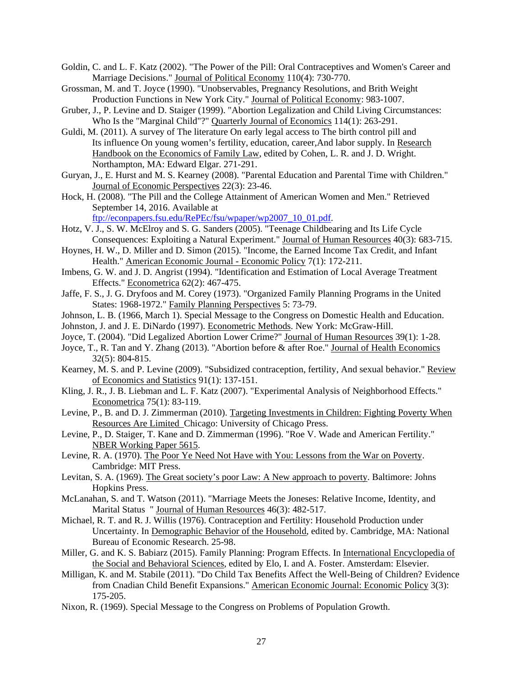- Goldin, C. and L. F. Katz (2002). "The Power of the Pill: Oral Contraceptives and Women's Career and Marriage Decisions." Journal of Political Economy 110(4): 730-770.
- Grossman, M. and T. Joyce (1990). "Unobservables, Pregnancy Resolutions, and Brith Weight Production Functions in New York City." Journal of Political Economy: 983-1007.
- Gruber, J., P. Levine and D. Staiger (1999). "Abortion Legalization and Child Living Circumstances: Who Is the "Marginal Child"?" Quarterly Journal of Economics 114(1): 263-291.
- Guldi, M. (2011). A survey of The literature On early legal access to The birth control pill and Its influence On young women's fertility, education, career,And labor supply. In Research Handbook on the Economics of Family Law, edited by Cohen, L. R. and J. D. Wright. Northampton, MA: Edward Elgar. 271-291.
- Guryan, J., E. Hurst and M. S. Kearney (2008). "Parental Education and Parental Time with Children." Journal of Economic Perspectives 22(3): 23-46.
- Hock, H. (2008). "The Pill and the College Attainment of American Women and Men." Retrieved September 14, 2016. Available at

[ftp://econpapers.fsu.edu/RePEc/fsu/wpaper/wp2007\\_10\\_01.pdf.](ftp://econpapers.fsu.edu/RePEc/fsu/wpaper/wp2007_10_01.pdf)

- Hotz, V. J., S. W. McElroy and S. G. Sanders (2005). "Teenage Childbearing and Its Life Cycle Consequences: Exploiting a Natural Experiment." Journal of Human Resources 40(3): 683-715.
- Hoynes, H. W., D. Miller and D. Simon (2015). "Income, the Earned Income Tax Credit, and Infant Health." American Economic Journal - Economic Policy 7(1): 172-211.
- Imbens, G. W. and J. D. Angrist (1994). "Identification and Estimation of Local Average Treatment Effects." Econometrica 62(2): 467-475.
- Jaffe, F. S., J. G. Dryfoos and M. Corey (1973). "Organized Family Planning Programs in the United States: 1968-1972." Family Planning Perspectives 5: 73-79.
- Johnson, L. B. (1966, March 1). Special Message to the Congress on Domestic Health and Education.
- Johnston, J. and J. E. DiNardo (1997). Econometric Methods. New York: McGraw-Hill.
- Joyce, T. (2004). "Did Legalized Abortion Lower Crime?" Journal of Human Resources 39(1): 1-28.
- Joyce, T., R. Tan and Y. Zhang (2013). "Abortion before & after Roe." Journal of Health Economics 32(5): 804-815.
- Kearney, M. S. and P. Levine (2009). "Subsidized contraception, fertility, And sexual behavior." Review of Economics and Statistics 91(1): 137-151.
- Kling, J. R., J. B. Liebman and L. F. Katz (2007). "Experimental Analysis of Neighborhood Effects." Econometrica 75(1): 83-119.
- Levine, P., B. and D. J. Zimmerman (2010). Targeting Investments in Children: Fighting Poverty When Resources Are Limited Chicago: University of Chicago Press.
- Levine, P., D. Staiger, T. Kane and D. Zimmerman (1996). "Roe V. Wade and American Fertility." NBER Working Paper 5615.
- Levine, R. A. (1970). The Poor Ye Need Not Have with You: Lessons from the War on Poverty. Cambridge: MIT Press.
- Levitan, S. A. (1969). The Great society's poor Law: A New approach to poverty. Baltimore: Johns Hopkins Press.
- McLanahan, S. and T. Watson (2011). "Marriage Meets the Joneses: Relative Income, Identity, and Marital Status " Journal of Human Resources 46(3): 482-517.
- Michael, R. T. and R. J. Willis (1976). Contraception and Fertility: Household Production under Uncertainty. In Demographic Behavior of the Household, edited by. Cambridge, MA: National Bureau of Economic Research. 25-98.
- Miller, G. and K. S. Babiarz (2015). Family Planning: Program Effects. In International Encyclopedia of the Social and Behavioral Sciences, edited by Elo, I. and A. Foster. Amsterdam: Elsevier.
- Milligan, K. and M. Stabile (2011). "Do Child Tax Benefits Affect the Well-Being of Children? Evidence from Cnadian Child Benefit Expansions." American Economic Journal: Economic Policy 3(3): 175-205.
- Nixon, R. (1969). Special Message to the Congress on Problems of Population Growth.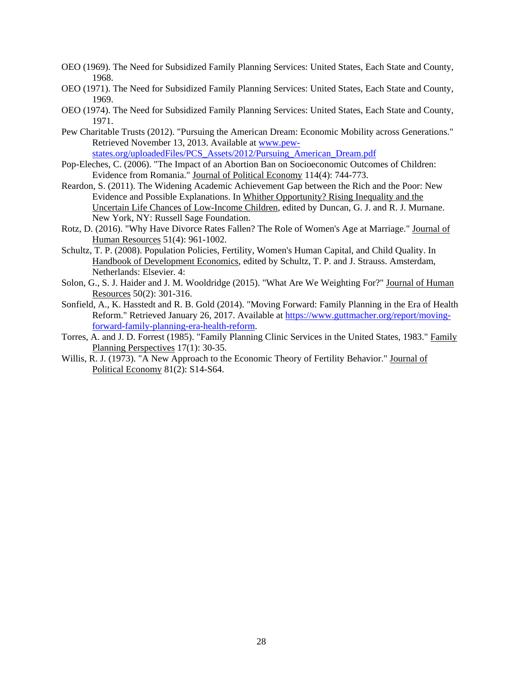- OEO (1969). The Need for Subsidized Family Planning Services: United States, Each State and County, 1968.
- OEO (1971). The Need for Subsidized Family Planning Services: United States, Each State and County, 1969.
- OEO (1974). The Need for Subsidized Family Planning Services: United States, Each State and County, 1971.
- Pew Charitable Trusts (2012). "Pursuing the American Dream: Economic Mobility across Generations." Retrieved November 13, 2013. Available at www.pewstates.org/uploadedFiles/PCS\_Assets/2012/Pursuing\_American\_Dream.pdf
- Pop-Eleches, C. (2006). "The Impact of an Abortion Ban on Socioeconomic Outcomes of Children: Evidence from Romania." Journal of Political Economy 114(4): 744-773.
- Reardon, S. (2011). The Widening Academic Achievement Gap between the Rich and the Poor: New Evidence and Possible Explanations. In Whither Opportunity? Rising Inequality and the Uncertain Life Chances of Low-Income Children, edited by Duncan, G. J. and R. J. Murnane. New York, NY: Russell Sage Foundation.
- Rotz, D. (2016). "Why Have Divorce Rates Fallen? The Role of Women's Age at Marriage." Journal of Human Resources 51(4): 961-1002.
- Schultz, T. P. (2008). Population Policies, Fertility, Women's Human Capital, and Child Quality. In Handbook of Development Economics, edited by Schultz, T. P. and J. Strauss. Amsterdam, Netherlands: Elsevier. 4:
- Solon, G., S. J. Haider and J. M. Wooldridge (2015). "What Are We Weighting For?" Journal of Human Resources 50(2): 301-316.
- Sonfield, A., K. Hasstedt and R. B. Gold (2014). "Moving Forward: Family Planning in the Era of Health Reform." Retrieved January 26, 2017. Available at [https://www.guttmacher.org/report/moving](https://www.guttmacher.org/report/moving-forward-family-planning-era-health-reform)[forward-family-planning-era-health-reform.](https://www.guttmacher.org/report/moving-forward-family-planning-era-health-reform)
- Torres, A. and J. D. Forrest (1985). "Family Planning Clinic Services in the United States, 1983." Family Planning Perspectives 17(1): 30-35.
- Willis, R. J. (1973). "A New Approach to the Economic Theory of Fertility Behavior." Journal of Political Economy 81(2): S14-S64.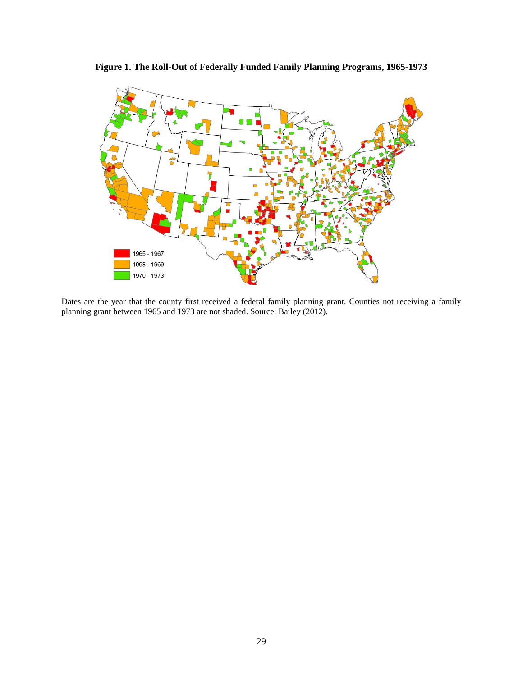**Figure 1. The Roll-Out of Federally Funded Family Planning Programs, 1965-1973**

<span id="page-30-0"></span>

<span id="page-30-1"></span>Dates are the year that the county first received a federal family planning grant. Counties not receiving a family planning grant between 1965 and 1973 are not shaded. Source: Bailey (2012).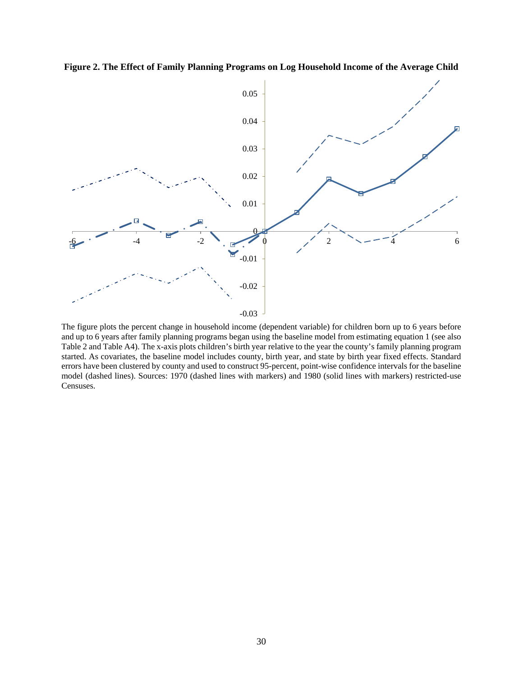**Figure 2. The Effect of Family Planning Programs on Log Household Income of the Average Child**



The figure plots the percent change in household income (dependent variable) for children born up to 6 years before and up to 6 years after family planning programs began using the baseline model from estimating equation 1 (see also [Table 2](#page-34-0) and Table A4). The x-axis plots children's birth year relative to the year the county's family planning program started. As covariates, the baseline model includes county, birth year, and state by birth year fixed effects. Standard errors have been clustered by county and used to construct 95-percent, point-wise confidence intervals for the baseline model (dashed lines). Sources: 1970 (dashed lines with markers) and 1980 (solid lines with markers) restricted-use Censuses.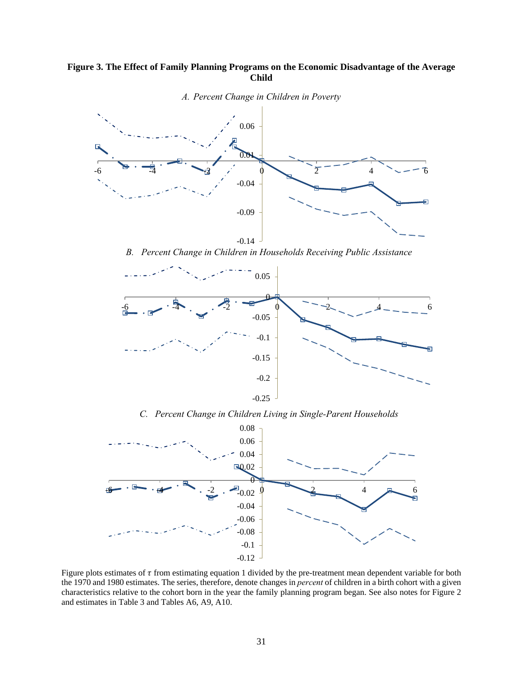## <span id="page-32-0"></span>**Figure 3. The Effect of Family Planning Programs on the Economic Disadvantage of the Average Child**



*A. Percent Change in Children in Poverty* 

*B. Percent Change in Children in Households Receiving Public Assistance*



*C. Percent Change in Children Living in Single-Parent Households* 



Figure plots estimates of  $\tau$  from estimating equation 1 divided by the pre-treatment mean dependent variable for both the 1970 and 1980 estimates. The series, therefore, denote changes in *percent* of children in a birth cohort with a given characteristics relative to the cohort born in the year the family planning program began. See also notes for [Figure 2](#page-30-1) and estimates in [Table 3](#page-35-0) and Tables A6, A9, A10.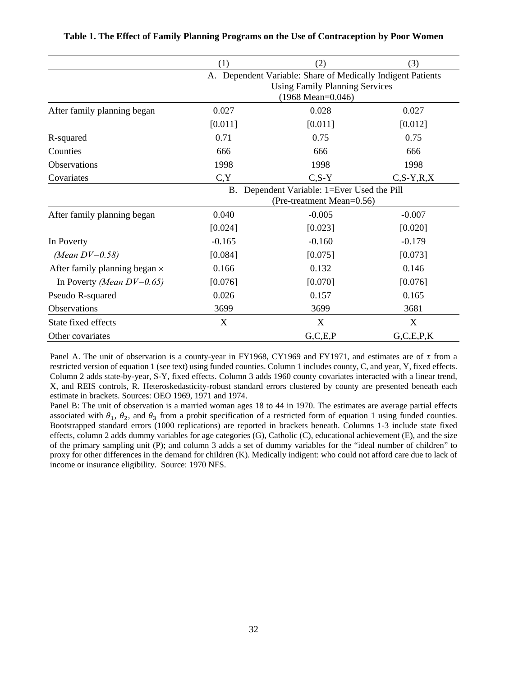<span id="page-33-0"></span>

|                                      | (1)      | (2)                                                                                                                                 | (3)            |
|--------------------------------------|----------|-------------------------------------------------------------------------------------------------------------------------------------|----------------|
|                                      |          | A. Dependent Variable: Share of Medically Indigent Patients<br><b>Using Family Planning Services</b><br>$(1968 \text{ Mean}=0.046)$ |                |
| After family planning began          | 0.027    | 0.028                                                                                                                               | 0.027          |
|                                      | [0.011]  | [0.011]                                                                                                                             | [0.012]        |
| R-squared                            | 0.71     | 0.75                                                                                                                                | 0.75           |
| Counties                             | 666      | 666                                                                                                                                 | 666            |
| <b>Observations</b>                  | 1998     | 1998                                                                                                                                | 1998           |
| Covariates                           | C, Y     | $C, S-Y$                                                                                                                            | $C, S-Y, R, X$ |
|                                      |          | B. Dependent Variable: 1=Ever Used the Pill<br>(Pre-treatment Mean=0.56)                                                            |                |
| After family planning began          | 0.040    | $-0.005$                                                                                                                            | $-0.007$       |
|                                      | [0.024]  | [0.023]                                                                                                                             | [0.020]        |
| In Poverty                           | $-0.165$ | $-0.160$                                                                                                                            | $-0.179$       |
| (Mean $DV=0.58$ )                    | [0.084]  | [0.075]                                                                                                                             | [0.073]        |
| After family planning began $\times$ | 0.166    | 0.132                                                                                                                               | 0.146          |
| In Poverty (Mean $DV=0.65$ )         | [0.076]  | [0.070]                                                                                                                             | [0.076]        |
| Pseudo R-squared                     | 0.026    | 0.157                                                                                                                               | 0.165          |
| Observations                         | 3699     | 3699                                                                                                                                | 3681           |
| State fixed effects                  | X        | X                                                                                                                                   | X              |
| Other covariates                     |          | G, C, E, P                                                                                                                          | G, C, E, P, K  |

|  |  |  |  |  |  |  |  |  |  |  | Table 1. The Effect of Family Planning Programs on the Use of Contraception by Poor Women |  |  |  |
|--|--|--|--|--|--|--|--|--|--|--|-------------------------------------------------------------------------------------------|--|--|--|
|--|--|--|--|--|--|--|--|--|--|--|-------------------------------------------------------------------------------------------|--|--|--|

Panel A. The unit of observation is a county-year in FY1968, CY1969 and FY1971, and estimates are of  $\tau$  from a restricted version of equation 1 (see text) using funded counties. Column 1 includes county, C, and year, Y, fixed effects. Column 2 adds state-by-year, S-Y, fixed effects. Column 3 adds 1960 county covariates interacted with a linear trend, X, and REIS controls, R. Heteroskedasticity-robust standard errors clustered by county are presented beneath each estimate in brackets. Sources: OEO 1969, 1971 and 1974.

Panel B: The unit of observation is a married woman ages 18 to 44 in 1970. The estimates are average partial effects associated with  $\theta_1$ ,  $\theta_2$ , and  $\theta_3$  from a probit specification of a restricted form of equation 1 using funded counties. Bootstrapped standard errors (1000 replications) are reported in brackets beneath. Columns 1-3 include state fixed effects, column 2 adds dummy variables for age categories (G), Catholic (C), educational achievement (E), and the size of the primary sampling unit (P); and column 3 adds a set of dummy variables for the "ideal number of children" to proxy for other differences in the demand for children (K). Medically indigent: who could not afford care due to lack of income or insurance eligibility. Source: 1970 NFS.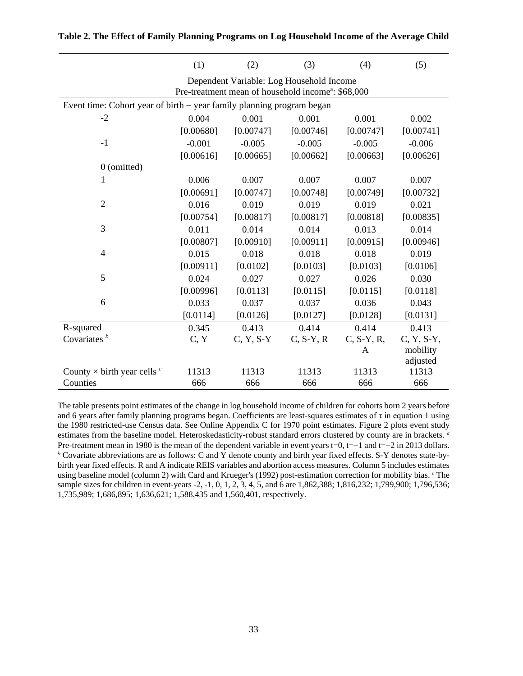|                                                                       | (1)       | (2)         | (3)                                                                                                        | (4)          | (5)          |
|-----------------------------------------------------------------------|-----------|-------------|------------------------------------------------------------------------------------------------------------|--------------|--------------|
|                                                                       |           |             | Dependent Variable: Log Household Income<br>Pre-treatment mean of household income <sup>a</sup> : \$68,000 |              |              |
| Event time: Cohort year of birth – year family planning program began |           |             |                                                                                                            |              |              |
| $-2$                                                                  | 0.004     | 0.001       | 0.001                                                                                                      | 0.001        | 0.002        |
|                                                                       | [0.00680] | [0.00747]   | [0.00746]                                                                                                  | [0.00747]    | [0.00741]    |
| $-1$                                                                  | $-0.001$  | $-0.005$    | $-0.005$                                                                                                   | $-0.005$     | $-0.006$     |
|                                                                       | [0.00616] | [0.00665]   | [0.00662]                                                                                                  | [0.00663]    | [0.00626]    |
| 0 (omitted)                                                           |           |             |                                                                                                            |              |              |
| 1                                                                     | 0.006     | 0.007       | 0.007                                                                                                      | 0.007        | 0.007        |
|                                                                       | [0.00691] | [0.00747]   | [0.00748]                                                                                                  | [0.00749]    | [0.00732]    |
| $\overline{2}$                                                        | 0.016     | 0.019       | 0.019                                                                                                      | 0.019        | 0.021        |
|                                                                       | [0.00754] | [0.00817]   | [0.00817]                                                                                                  | [0.00818]    | [0.00835]    |
| 3                                                                     | 0.011     | 0.014       | 0.014                                                                                                      | 0.013        | 0.014        |
|                                                                       | [0.00807] | [0.00910]   | [0.00911]                                                                                                  | [0.00915]    | [0.00946]    |
| $\overline{4}$                                                        | 0.015     | 0.018       | 0.018                                                                                                      | 0.018        | 0.019        |
|                                                                       | [0.00911] | [0.0102]    | [0.0103]                                                                                                   | [0.0103]     | [0.0106]     |
| 5                                                                     | 0.024     | 0.027       | 0.027                                                                                                      | 0.026        | 0.030        |
|                                                                       | [0.00996] | [0.0113]    | [0.0115]                                                                                                   | [0.0115]     | [0.0118]     |
| 6                                                                     | 0.033     | 0.037       | 0.037                                                                                                      | 0.036        | 0.043        |
|                                                                       | [0.0114]  | [0.0126]    | [0.0127]                                                                                                   | [0.0128]     | [0.0131]     |
| R-squared                                                             | 0.345     | 0.413       | 0.414                                                                                                      | 0.414        | 0.413        |
| Covariates $b$                                                        | C, Y      | $C, Y, S-Y$ | $C, S-Y, R$                                                                                                | $C, S-Y, R,$ | $C, Y, S-Y,$ |
|                                                                       |           |             |                                                                                                            | $\mathbf{A}$ | mobility     |
|                                                                       |           |             |                                                                                                            |              | adjusted     |
| County $\times$ birth year cells $\degree$                            | 11313     | 11313       | 11313                                                                                                      | 11313        | 11313        |
| Counties                                                              | 666       | 666         | 666                                                                                                        | 666          | 666          |

<span id="page-34-1"></span><span id="page-34-0"></span>

|  |  |  |  | Table 2. The Effect of Family Planning Programs on Log Household Income of the Average Child |  |  |
|--|--|--|--|----------------------------------------------------------------------------------------------|--|--|
|  |  |  |  |                                                                                              |  |  |

The table presents point estimates of the change in log household income of children for cohorts born 2 years before and 6 years after family planning programs began. Coefficients are least-squares estimates of τ in equation 1 using the 1980 restricted-use Census data. See Online Appendix C for 1970 point estimates. Figure 2 plots event study estimates from the baseline model. Heteroskedasticity-robust standard errors clustered by county are in brackets. *<sup>a</sup>* Pre-treatment mean in 1980 is the mean of the dependent variable in event years t=0, t=−1 and t=−2 in 2013 dollars. *<sup>b</sup>* Covariate abbreviations are as follows: C and Y denote county and birth year fixed effects. S-Y denotes state-bybirth year fixed effects. R and A indicate REIS variables and abortion access measures. Column 5 includes estimates using baseline model (column 2) with Card and Krueger's (1992) post-estimation correction for mobility bias. *<sup>c</sup>* The sample sizes for children in event-years -2, -1, 0, 1, 2, 3, 4, 5, and 6 are 1,862,388; 1,816,232; 1,799,900; 1,796,536; 1,735,989; 1,686,895; 1,636,621; 1,588,435 and 1,560,401, respectively.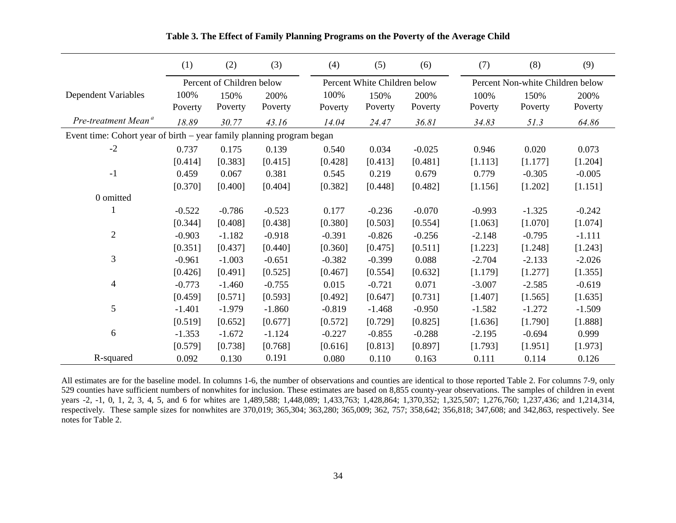<span id="page-35-0"></span>

|                                                                       | (1)      | (2)                       | (3)      | (4)      | (5)                          | (6)      | (7)                              | (8)      | (9)      |
|-----------------------------------------------------------------------|----------|---------------------------|----------|----------|------------------------------|----------|----------------------------------|----------|----------|
|                                                                       |          | Percent of Children below |          |          | Percent White Children below |          | Percent Non-white Children below |          |          |
| Dependent Variables                                                   | 100%     | 150%                      | 200%     | 100%     | 150%                         | 200%     | 100%                             | 150%     | 200%     |
|                                                                       | Poverty  | Poverty                   | Poverty  | Poverty  | Poverty                      | Poverty  | Poverty                          | Poverty  | Poverty  |
| Pre-treatment Mean <sup>a</sup>                                       | 18.89    | 30.77                     | 43.16    | 14.04    | 24.47                        | 36.81    | 34.83                            | 51.3     | 64.86    |
| Event time: Cohort year of birth – year family planning program began |          |                           |          |          |                              |          |                                  |          |          |
| $-2$                                                                  | 0.737    | 0.175                     | 0.139    | 0.540    | 0.034                        | $-0.025$ | 0.946                            | 0.020    | 0.073    |
|                                                                       | [0.414]  | [0.383]                   | [0.415]  | [0.428]  | [0.413]                      | [0.481]  | [1.113]                          | [1.177]  | [1.204]  |
| $-1$                                                                  | 0.459    | 0.067                     | 0.381    | 0.545    | 0.219                        | 0.679    | 0.779                            | $-0.305$ | $-0.005$ |
|                                                                       | [0.370]  | [0.400]                   | [0.404]  | [0.382]  | [0.448]                      | [0.482]  | [1.156]                          | [1.202]  | [1.151]  |
| 0 omitted                                                             |          |                           |          |          |                              |          |                                  |          |          |
|                                                                       | $-0.522$ | $-0.786$                  | $-0.523$ | 0.177    | $-0.236$                     | $-0.070$ | $-0.993$                         | $-1.325$ | $-0.242$ |
|                                                                       | [0.344]  | [0.408]                   | [0.438]  | [0.380]  | [0.503]                      | [0.554]  | [1.063]                          | [1.070]  | [1.074]  |
| $\mathbf{2}$                                                          | $-0.903$ | $-1.182$                  | $-0.918$ | $-0.391$ | $-0.826$                     | $-0.256$ | $-2.148$                         | $-0.795$ | $-1.111$ |
|                                                                       | [0.351]  | [0.437]                   | [0.440]  | [0.360]  | [0.475]                      | [0.511]  | [1.223]                          | [1.248]  | [1.243]  |
| 3                                                                     | $-0.961$ | $-1.003$                  | $-0.651$ | $-0.382$ | $-0.399$                     | 0.088    | $-2.704$                         | $-2.133$ | $-2.026$ |
|                                                                       | [0.426]  | [0.491]                   | [0.525]  | [0.467]  | [0.554]                      | [0.632]  | [1.179]                          | [1.277]  | [1.355]  |
| $\overline{4}$                                                        | $-0.773$ | $-1.460$                  | $-0.755$ | 0.015    | $-0.721$                     | 0.071    | $-3.007$                         | $-2.585$ | $-0.619$ |
|                                                                       | [0.459]  | [0.571]                   | [0.593]  | [0.492]  | [0.647]                      | [0.731]  | [1.407]                          | [1.565]  | [1.635]  |
| 5                                                                     | $-1.401$ | $-1.979$                  | $-1.860$ | $-0.819$ | $-1.468$                     | $-0.950$ | $-1.582$                         | $-1.272$ | $-1.509$ |
|                                                                       | [0.519]  | [0.652]                   | [0.677]  | [0.572]  | [0.729]                      | [0.825]  | [1.636]                          | [1.790]  | [1.888]  |
| 6                                                                     | $-1.353$ | $-1.672$                  | $-1.124$ | $-0.227$ | $-0.855$                     | $-0.288$ | $-2.195$                         | $-0.694$ | 0.999    |
|                                                                       | [0.579]  | [0.738]                   | [0.768]  | [0.616]  | [0.813]                      | [0.897]  | [1.793]                          | [1.951]  | [1.973]  |
| R-squared                                                             | 0.092    | 0.130                     | 0.191    | 0.080    | 0.110                        | 0.163    | 0.111                            | 0.114    | 0.126    |

**Table 3. The Effect of Family Planning Programs on the Poverty of the Average Child**

All estimates are for the baseline model. In columns 1-6, the number of observations and counties are identical to those reported [Table 2.](#page-34-1) For columns 7-9, only 529 counties have sufficient numbers of nonwhites for inclusion. These estimates are based on 8,855 county-year observations. The samples of children in event years -2, -1, 0, 1, 2, 3, 4, 5, and 6 for whites are 1,489,588; 1,448,089; 1,433,763; 1,428,864; 1,370,352; 1,325,507; 1,276,760; 1,237,436; and 1,214,314, respectively. These sample sizes for nonwhites are 370,019; 365,304; 363,280; 365,009; 362, 757; 358,642; 356,818; 347,608; and 342,863, respectively. See notes for [Table 2.](#page-34-1)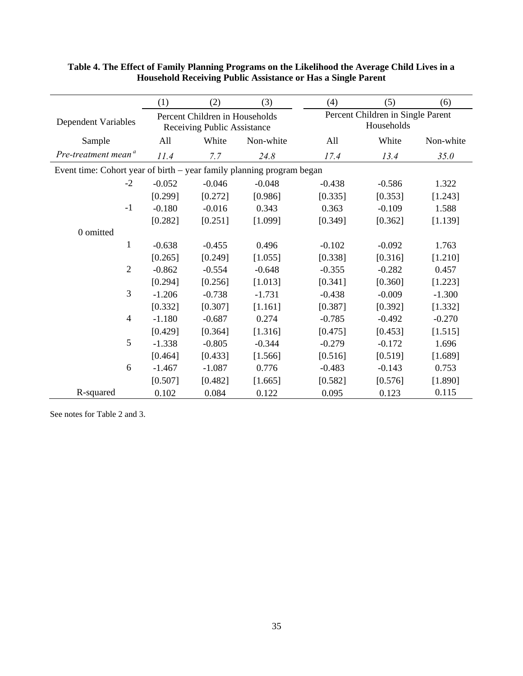|                                                                         | (1)      | (2)                                                           | (3)       | (4)      | (5)                                             | (6)       |  |  |
|-------------------------------------------------------------------------|----------|---------------------------------------------------------------|-----------|----------|-------------------------------------------------|-----------|--|--|
| <b>Dependent Variables</b>                                              |          | Percent Children in Households<br>Receiving Public Assistance |           |          | Percent Children in Single Parent<br>Households |           |  |  |
| Sample                                                                  | All      | White                                                         | Non-white | All      | White                                           | Non-white |  |  |
| Pre-treatment mean <sup>a</sup>                                         | 11.4     | 7.7                                                           | 24.8      | 17.4     | 13.4                                            | 35.0      |  |  |
| Event time: Cohort year of birth $-$ year family planning program began |          |                                                               |           |          |                                                 |           |  |  |
| $-2$                                                                    | $-0.052$ | $-0.046$                                                      | $-0.048$  | $-0.438$ | $-0.586$                                        | 1.322     |  |  |
|                                                                         | [0.299]  | [0.272]                                                       | [0.986]   | [0.335]  | [0.353]                                         | [1.243]   |  |  |
| $-1$                                                                    | $-0.180$ | $-0.016$                                                      | 0.343     | 0.363    | $-0.109$                                        | 1.588     |  |  |
|                                                                         | [0.282]  | [0.251]                                                       | [1.099]   | [0.349]  | [0.362]                                         | [1.139]   |  |  |
| 0 omitted                                                               |          |                                                               |           |          |                                                 |           |  |  |
| $\mathbf{1}$                                                            | $-0.638$ | $-0.455$                                                      | 0.496     | $-0.102$ | $-0.092$                                        | 1.763     |  |  |
|                                                                         | [0.265]  | [0.249]                                                       | [1.055]   | [0.338]  | [0.316]                                         | [1.210]   |  |  |
| $\overline{2}$                                                          | $-0.862$ | $-0.554$                                                      | $-0.648$  | $-0.355$ | $-0.282$                                        | 0.457     |  |  |
|                                                                         | [0.294]  | [0.256]                                                       | [1.013]   | [0.341]  | [0.360]                                         | [1.223]   |  |  |
| 3                                                                       | $-1.206$ | $-0.738$                                                      | $-1.731$  | $-0.438$ | $-0.009$                                        | $-1.300$  |  |  |
|                                                                         | [0.332]  | [0.307]                                                       | [1.161]   | [0.387]  | [0.392]                                         | [1.332]   |  |  |
| $\overline{4}$                                                          | $-1.180$ | $-0.687$                                                      | 0.274     | $-0.785$ | $-0.492$                                        | $-0.270$  |  |  |
|                                                                         | [0.429]  | [0.364]                                                       | [1.316]   | [0.475]  | [0.453]                                         | [1.515]   |  |  |
| 5                                                                       | $-1.338$ | $-0.805$                                                      | $-0.344$  | $-0.279$ | $-0.172$                                        | 1.696     |  |  |
|                                                                         | [0.464]  | [0.433]                                                       | [1.566]   | [0.516]  | [0.519]                                         | [1.689]   |  |  |
| 6                                                                       | $-1.467$ | $-1.087$                                                      | 0.776     | $-0.483$ | $-0.143$                                        | 0.753     |  |  |
|                                                                         | [0.507]  | [0.482]                                                       | [1.665]   | [0.582]  | [0.576]                                         | [1.890]   |  |  |
| R-squared                                                               | 0.102    | 0.084                                                         | 0.122     | 0.095    | 0.123                                           | 0.115     |  |  |

#### <span id="page-36-0"></span>**Table 4. The Effect of Family Planning Programs on the Likelihood the Average Child Lives in a Household Receiving Public Assistance or Has a Single Parent**

See notes for [Table 2](#page-34-0) and 3.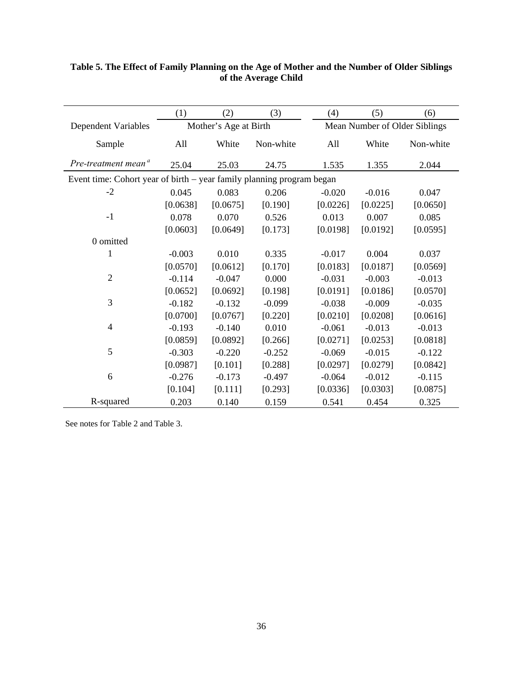|                                                                       | (1)      | (2)                   | (3)       | (4)      | (5)      | (6)                           |
|-----------------------------------------------------------------------|----------|-----------------------|-----------|----------|----------|-------------------------------|
| <b>Dependent Variables</b>                                            |          | Mother's Age at Birth |           |          |          | Mean Number of Older Siblings |
| Sample                                                                | All      | White                 | Non-white | All      | White    | Non-white                     |
| Pre-treatment mean <sup>a</sup>                                       | 25.04    | 25.03                 | 24.75     | 1.535    | 1.355    | 2.044                         |
| Event time: Cohort year of birth – year family planning program began |          |                       |           |          |          |                               |
| $-2$                                                                  | 0.045    | 0.083                 | 0.206     | $-0.020$ | $-0.016$ | 0.047                         |
|                                                                       | [0.0638] | [0.0675]              | [0.190]   | [0.0226] | [0.0225] | [0.0650]                      |
| $-1$                                                                  | 0.078    | 0.070                 | 0.526     | 0.013    | 0.007    | 0.085                         |
|                                                                       | [0.0603] | [0.0649]              | [0.173]   | [0.0198] | [0.0192] | [0.0595]                      |
| 0 omitted                                                             |          |                       |           |          |          |                               |
| 1                                                                     | $-0.003$ | 0.010                 | 0.335     | $-0.017$ | 0.004    | 0.037                         |
|                                                                       | [0.0570] | [0.0612]              | [0.170]   | [0.0183] | [0.0187] | [0.0569]                      |
| $\overline{2}$                                                        | $-0.114$ | $-0.047$              | 0.000     | $-0.031$ | $-0.003$ | $-0.013$                      |
|                                                                       | [0.0652] | [0.0692]              | [0.198]   | [0.0191] | [0.0186] | [0.0570]                      |
| 3                                                                     | $-0.182$ | $-0.132$              | $-0.099$  | $-0.038$ | $-0.009$ | $-0.035$                      |
|                                                                       | [0.0700] | [0.0767]              | [0.220]   | [0.0210] | [0.0208] | [0.0616]                      |
| $\overline{4}$                                                        | $-0.193$ | $-0.140$              | 0.010     | $-0.061$ | $-0.013$ | $-0.013$                      |
|                                                                       | [0.0859] | [0.0892]              | [0.266]   | [0.0271] | [0.0253] | [0.0818]                      |
| 5                                                                     | $-0.303$ | $-0.220$              | $-0.252$  | $-0.069$ | $-0.015$ | $-0.122$                      |
|                                                                       | [0.0987] | [0.101]               | [0.288]   | [0.0297] | [0.0279] | [0.0842]                      |
| 6                                                                     | $-0.276$ | $-0.173$              | $-0.497$  | $-0.064$ | $-0.012$ | $-0.115$                      |
|                                                                       | [0.104]  | [0.111]               | [0.293]   | [0.0336] | [0.0303] | [0.0875]                      |
| R-squared                                                             | 0.203    | 0.140                 | 0.159     | 0.541    | 0.454    | 0.325                         |

## <span id="page-37-0"></span>**Table 5. The Effect of Family Planning on the Age of Mother and the Number of Older Siblings of the Average Child**

See notes for [Table 2](#page-34-0) and Table 3.